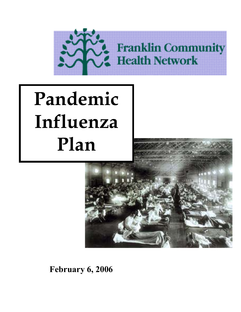

# i **Pandemic Influenza Plan**



**February 6, 2006**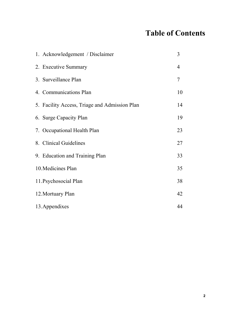# **Table of Contents**

| 1. Acknowledgement / Disclaimer               | 3              |
|-----------------------------------------------|----------------|
| 2. Executive Summary                          | $\overline{4}$ |
| 3. Surveillance Plan                          | 7              |
| 4. Communications Plan                        | 10             |
| 5. Facility Access, Triage and Admission Plan | 14             |
| 6. Surge Capacity Plan                        | 19             |
| 7. Occupational Health Plan                   | 23             |
| 8. Clinical Guidelines                        | 27             |
| 9. Education and Training Plan                | 33             |
| 10. Medicines Plan                            | 35             |
| 11. Psychosocial Plan                         | 38             |
| 12. Mortuary Plan                             | 42             |
| 13. Appendixes                                | 44             |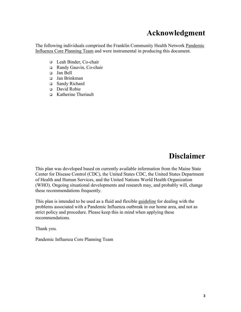# **Acknowledgment**

The following individuals comprised the Franklin Community Health Network Pandemic Influenza Core Planning Team and were instrumental in producing this document.

- Leah Binder, Co-chair
- Randy Gauvin, Co-chair
- Jan Bell
- Jan Brinkman
- □ Sandy Richard
- David Robie
- Katherine Theriault

# **Disclaimer**

This plan was developed based on currently available information from the Maine State Center for Disease Control (CDC), the United States CDC, the United States Department of Health and Human Services, and the United Nations World Health Organization (WHO). Ongoing situational developments and research may, and probably will, change these recommendations frequently.

This plan is intended to be used as a fluid and flexible guideline for dealing with the problems associated with a Pandemic Influenza outbreak in our home area, and not as strict policy and procedure. Please keep this in mind when applying these recommendations.

Thank you.

Pandemic Influenza Core Planning Team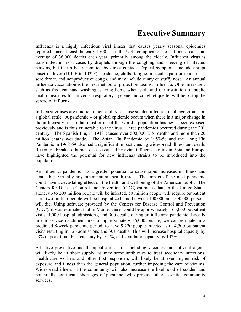# **Executive Summary**

Influenza is a highly infectious viral illness that causes yearly seasonal epidemics reported since at least the early 1500's. In the U.S., complications of influenza cause an average of 36,000 deaths each year, primarily among the elderly. Influenza virus is transmitted in most cases by droplets through the coughing and sneezing of infected persons, but it can be transmitted by direct contact. Typical symptoms include abrupt onset of fever (101°F to 102°F), headache, chills, fatigue, muscular pain or tenderness, sore throat, and nonproductive cough, and may include runny or stuffy nose. An annual influenza vaccination is the best method of protection against influenza. Other measures, such as frequent hand washing, staying home when sick, and the institution of public health measures for universal respiratory hygiene and cough etiquette, will help stop the spread of influenza.

Influenza viruses are unique in their ability to cause sudden infection in all age groups on a global scale. A pandemic – or global epidemic occurs when there is a major change in the influenza virus so that most or all of the world's population has never been exposed previously and is thus vulnerable to the virus. Three pandemics occurred during the  $20<sup>th</sup>$ century. The Spanish Flu, in 1918 caused over 500,000 U.S. deaths and more than 20 million deaths worldwide. The Asian Flu Pandemic of 1957-58 and the Hong Flu Pandemic in 1968-69 also had a significant impact causing widespread illness and death. Recent outbreaks of human disease caused by avian influenza strains in Asia and Europe have highlighted the potential for new influenza strains to be introduced into the population.

An influenza pandemic has a greater potential to cause rapid increases in illness and death than virtually any other natural health threat. The impact of the next pandemic could have a devastating effect on the health and well being of the American public. The Centers for Disease Control and Prevention (CDC) estimates that, in the United States alone, up to 200 million people will be infected, 50 million people will require outpatient care, two million people will be hospitalized, and between 100,000 and 500,000 persons will die. Using software provided by the Centers for Disease Control and Prevention (CDC), it was estimated that in Maine, there would be approximately 165,000 outpatient visits, 4,000 hospital admissions, and 900 deaths during an influenza pandemic. Locally in our service catchment area of approximately 36,000 people, we can estimate in a predicted 8-week pandemic period, to have 9,220 people infected with 4,500 outpatient visits resulting in 126 admissions and 30+ deaths. This will increase hospital capacity by 28% at peak time, ICU capacity by 105%, and ventilator capacity by 132%.

Effective preventive and therapeutic measures including vaccines and antiviral agents will likely be in short supply, as may some antibiotics to treat secondary infections. Health-care workers and other first responders will likely be at even higher risk of exposure and illness than the general population, further impeding the care of victims. Widespread illness in the community will also increase the likelihood of sudden and potentially significant shortages of personnel who provide other essential community services.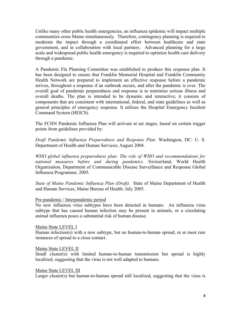Unlike many other public health emergencies, an influenza epidemic will impact multiple communities cross Maine simultaneously. Therefore, contingency planning is required to moderate the impact through a coordinated effort between healthcare and state government, and in collaboration with local partners. Advanced planning for a large scale and widespread public health emergency is required to optimize health care delivery through a pandemic.

A Pandemic Flu Planning Committee was established to produce this response plan. It has been designed to ensure that Franklin Memorial Hospital and Franklin Community Health Network are prepared to implement an effective response before a pandemic arrives, throughout a response if an outbreak occurs, and after the pandemic is over. The overall goal of pandemic preparedness and response is to minimize serious illness and overall deaths. The plan is intended to be dynamic and interactive; it consists of components that are consistent with international, federal, and state guidelines as well as general principles of emergency response. It utilizes the Hospital Emergency Incident Command System (HEICS).

The FCHN Pandemic Influenza Plan will activate at set stages, based on certain trigger points from guidelines provided by:

*Draft Pandemic Influenza Preparedness and Response Plan.* Washington, DC: U. S. Department of Health and Human Services; August 2004.

*WHO global influenza preparedness plan: The role of WHO and recommendations for national measures before and during pandemics.* Switzerland, World Health Organization, Department of Communicable Disease Surveillance and Response Global Influenza Programme: 2005.

*State of Maine Pandemic Influenza Plan (Draft)*. State of Maine Department of Health and Human Services, Maine Bureau of Health. July 2005.

#### Pre-pandemic / Interpandemic period

No new influenza virus subtypes have been detected in humans. An influenza virus subtype that has caused human infection may be present in animals, or a circulating animal influenza poses a substantial risk of human disease.

#### Maine State LEVEL I

Human infection(s) with a new subtype, but no human-to-human spread, or at most rare instances of spread to a close contact.

#### Maine State LEVEL II

Small cluster(s) with limited human-to-human transmission but spread is highly localized, suggesting that the virus is not well adapted to humans.

#### Maine State LEVEL III

Larger cluster(s) but human-to-human spread still localized, suggesting that the virus is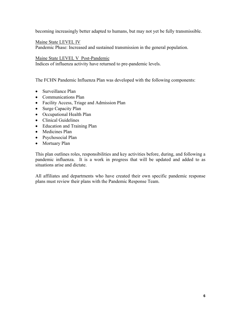becoming increasingly better adapted to humans, but may not yet be fully transmissible.

Maine State LEVEL IV

Pandemic Phase: Increased and sustained transmission in the general population.

#### Maine State LEVEL V Post-Pandemic

Indices of influenza activity have returned to pre-pandemic levels.

The FCHN Pandemic Influenza Plan was developed with the following components:

- Surveillance Plan
- Communications Plan
- Facility Access, Triage and Admission Plan
- Surge Capacity Plan
- Occupational Health Plan
- Clinical Guidelines
- Education and Training Plan
- Medicines Plan
- Psychosocial Plan
- Mortuary Plan

This plan outlines roles, responsibilities and key activities before, during, and following a pandemic influenza. It is a work in progress that will be updated and added to as situations arise and dictate.

All affiliates and departments who have created their own specific pandemic response plans must review their plans with the Pandemic Response Team.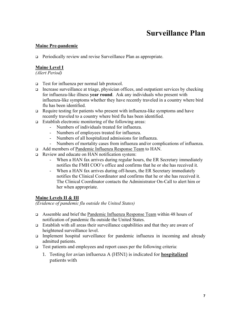# **Surveillance Plan**

### **Maine Pre-pandemic**

Periodically review and revise Surveillance Plan as appropriate.

### **Maine Level I**

*(Alert Period)* 

- Test for influenza per normal lab protocol.
- Increase surveillance at triage, physician offices, and outpatient services by checking for influenza-like illness **year round**. Ask any individuals who present with influenza-like symptoms whether they have recently traveled in a country where bird flu has been identified.
- Require testing for patients who present with influenza-like symptoms and have recently traveled to a country where bird flu has been identified.
- Establish electronic monitoring of the following areas:
	- Numbers of individuals treated for influenza.
	- Numbers of employees treated for influenza.
	- Numbers of all hospitalized admissions for influenza.
	- Numbers of mortality cases from influenza and/or complications of influenza.
- Add members of Pandemic Influenza Response Team to HAN.
- Review and educate on HAN notification system:
	- When a HAN fax arrives during regular hours, the ER Secretary immediately notifies the FMH COO's office and confirms that he or she has received it.
	- When a HAN fax arrives during off-hours, the ER Secretary immediately notifies the Clinical Coordinator and confirms that he or she has received it. The Clinical Coordinator contacts the Administrator On-Call to alert him or her when appropriate.

### **Maine Levels II & III**

*(Evidence of pandemic flu outside the United States)* 

- Assemble and brief the Pandemic Influenza Response Team within 48 hours of notification of pandemic flu outside the United States.
- Establish with all areas their surveillance capabilities and that they are aware of heightened surveillance level.
- Implement hospital surveillance for pandemic influenza in incoming and already admitted patients.
- □ Test patients and employees and report cases per the following criteria:
	- 1. Testing for avian influenza A (H5N1) is indicated for **hospitalized** patients with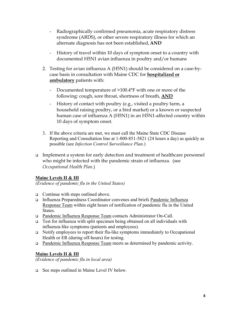- Radiographically confirmed pneumonia, acute respiratory distress syndrome (ARDS), or other severe respiratory illness for which an alternate diagnosis has not been established, **AND**
- History of travel within 10 days of symptom onset to a country with documented H5N1 avian influenza in poultry and/or humans
- 2. Testing for avian influenza A (H5N1) should be considered on a case-bycase basis in consultation with Maine CDC for **hospitalized or ambulatory** patients with:
	- Documented temperature of >100.4°F with one or more of the following: cough, sore throat, shortness of breath, **AND**
	- History of contact with poultry (e.g., visited a poultry farm, a household raising poultry, or a bird market) or a known or suspected human case of influenza A (H5N1) in an H5N1-affected country within 10 days of symptom onset.
- 3. If the above criteria are met, we must call the Maine State CDC Disease Reporting and Consultation line at 1-800-851-5821 (24 hours a day) as quickly as possible (see *Infection Control Surveillance Plan*.)
- Implement a system for early detection and treatment of healthcare personnel who might be infected with the pandemic strain of influenza. (see *Occupational Health Plan.*)

### **Maine Levels II & III**

*(Evidence of pandemic flu in the United States)* 

- $\Box$  Continue with steps outlined above.
- Influenza Preparedness Coordinator convenes and briefs Pandemic Influenza Response Team within eight hours of notification of pandemic flu in the United States.
- □ Pandemic Influenza Response Team contacts Administrator On-Call.
- **Test for influenza with split specimen being obtained on all individuals with** influenza-like symptoms (patients and employees).
- Notify employees to report their flu-like symptoms immediately to Occupational Health or ER (during off-hours) for testing.
- □ Pandemic Influenza Response Team meets as determined by pandemic activity.

### **Maine Levels II & III**

*(Evidence of pandemic flu in local area)* 

See steps outlined in Maine Level IV below.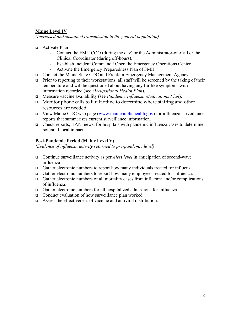### **Maine Level IV**

*(Increased and sustained transmission in the general population)* 

- □ Activate Plan
	- Contact the FMH COO (during the day) or the Administrator-on-Call or the Clinical Coordinator (during off-hours).
	- Establish Incident Command / Open the Emergency Operations Center
	- Activate the Emergency Preparedness Plan of FMH
- Contact the Maine State CDC and Franklin Emergency Management Agency.
- $\Box$  Prior to reporting to their workstations, all staff will be screened by the taking of their temperature and will be questioned about having any flu-like symptoms with information recorded (see *Occupational Health Plan*).
- Measure vaccine availability (see *Pandemic Influenza Medications Plan*).
- $\Box$  Monitor phone calls to Flu Hotline to determine where staffing and other resources are needed.
- $\Box$  View Maine CDC web page (www.mainepublichealth.gov) for influenza surveillance reports that summarizes current surveillance information.
- Check reports, HAN, news, for hospitals with pandemic influenza cases to determine potential local impact.

### **Post-Pandemic Period (Maine Level V)**

*(Evidence of influenza activity returned to pre-pandemic level)* 

- Continue surveillance activity as per *Alert level* in anticipation of second-wave influenza
- Gather electronic numbers to report how many individuals treated for influenza.
- Gather electronic numbers to report how many employees treated for influenza.
- Gather electronic numbers of all mortality cases from influenza and/or complications of influenza.
- Gather electronic numbers for all hospitalized admissions for influenza.
- □ Conduct evaluation of how surveillance plan worked.
- $\Box$  Assess the effectiveness of vaccine and antiviral distribution.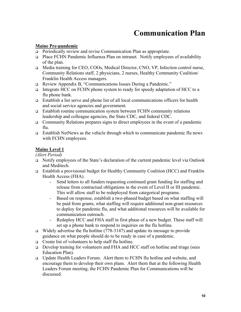# **Communication Plan**

### **Maine Pre-pandemic**

- Periodically review and revise Communication Plan as appropriate.
- Place FCHN Pandemic Influenza Plan on intranet. Notify employees of availability of the plan.
- Media training for CEO, COOs, Medical Director, CNO, VP, Infection control nurse, Community Relations staff, 2 physicians, 2 nurses, Healthy Community Coalition/ Franklin Health Access managers.
- Review Appendix B, "Communications Issues During a Pandemic."
- Integrate HCC on FCHN phone system to ready for speedy adaptation of HCC to a flu phone bank.
- Establish a list serve and phone list of all local communications officers for health and social service agencies and government.
- Establish routine communication system between FCHN community relations leadership and colleague agencies, the State CDC, and federal CDC.
- $\Box$  Community Relations prepares signs to direct employees in the event of a pandemic flu.
- Establish NetNews as the vehicle through which to communicate pandemic flu news with FCHN employees.

### **Maine Level 1**

*(Alert Period)* 

- Notify employees of the State's declaration of the current pandemic level via Outlook and Meditech.
- Establish a provisional budget for Healthy Community Coalition (HCC) and Franklin Health Access (FHA).
	- Send letters to all funders requesting continued grant funding for staffing and release from contractual obligations in the event of Level II or III pandemic. This will allow staff to be redeployed from categorical programs.
	- Based on response, establish a two-phased budget based on what staffing will be paid from grants, what staffing will require additional non-grant resources to deploy for pandemic flu, and what additional resources will be available for communication outreach.
	- Redeploy HCC and FHA staff in first phase of a new budget. These staff will set up a phone bank to respond to inquiries on the flu hotline.
- $\Box$  Widely advertise the flu hotline (778-3147) and update its message to provide guidance on what people should do to be ready in case of a pandemic.
- $\Box$  Create list of volunteers to help staff flu hotline.
- Develop training for volunteers and FHA and HCC staff on hotline and triage (sees Education Plan).
- Update Health Leaders Forum. Alert them to FCHN flu hotline and website, and encourage them to develop their own plans. Alert them that at the following Health Leaders Forum meeting, the FCHN Pandemic Plan for Communications will be discussed.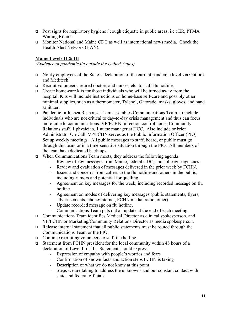- **Post signs for respiratory hygiene** / cough etiquette in public areas, i.e.: ER, PTMA Waiting Rooms.
- Monitor National and Maine CDC as well as international news media. Check the Health Alert Network (HAN).

### **Maine Levels II & III**

*(Evidence of pandemic flu outside the United States)* 

- Notify employees of the State's declaration of the current pandemic level via Outlook and Meditech.
- Recruit volunteers, retired doctors and nurses, etc. to staff flu hotline.
- $\Box$  Create home-care kits for those individuals who will be turned away from the hospital. Kits will include instructions on home-base self-care and possibly other minimal supplies, such as a thermometer, Tylenol, Gatorade, masks, gloves, and hand sanitizer.
- Pandemic Influenza Response Team assembles Communications Team, to include individuals who are not critical to day-to-day crisis management and thus can focus more time to communications: VP/FCHN, infection control nurse, Community Relations staff, 1 physician, 1 nurse manager at HCC. Also include or brief Administrator On-Call. VP/FCHN serves as the Public Information Officer (PIO). Set up weekly meetings. All public messages to staff, board, or public must go through this team or in a time-sensitive situation through the PIO. All members of the team have dedicated back-ups.
- $\Box$  When Communications Team meets, they address the following agenda:
	- Review of key messages from Maine, federal CDC, and colleague agencies.
	- Review and evaluation of messages delivered in the prior week by FCHN.
	- Issues and concerns from callers to the flu hotline and others in the public, including rumors and potential for quelling.
	- Agreement on key messages for the week, including recorded message on flu hotline.
	- Agreement on modes of delivering key messages (public statements, flyers, advertisements, phone/internet, FCHN media, radio, other).
	- Update recorded message on flu hotline.
	- Communications Team puts out an update at the end of each meeting.
- Communications Team identifies Medical Director as clinical spokesperson, and VP/FCHN or Marketing/Community Relations Director as media spokesperson.
- $\Box$  Release internal statement that all public statements must be routed through the Communications Team or the PIO.
- Continue recruiting volunteers to staff the hotline.
- Statement from FCHN president for the local community within 48 hours of a declaration of Level II or III. Statement should express:
	- Expression of empathy with people's worries and fears
	- Confirmation of known facts and action steps FCHN is taking
	- Description of what we do not know at this point
	- Steps we are taking to address the unknowns and our constant contact with state and federal officials.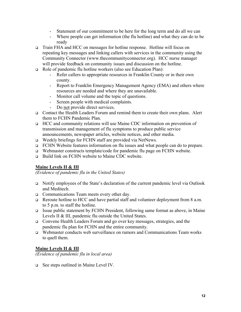- Statement of our commitment to be here for the long term and do all we can
- Where people can get information (the flu hotline) and what they can do to be ready
- Train FHA and HCC on messages for hotline response. Hotline will focus on repeating key messages and linking callers with services in the community using the Community Connector (www.thecommunityconnector.org). HCC nurse manager will provide feedback on community issues and discussion on the hotline.
- Role of pandemic flu hotline workers (also see Education Plan):
	- Refer callers to appropriate resources in Franklin County or in their own county.
	- Report to Franklin Emergency Management Agency (EMA) and others where resources are needed and where they are unavailable.
	- Monitor call volume and the topic of questions.
	- Screen people with medical complaints.
	- Do not provide direct services.
- Contact the Health Leaders Forum and remind them to create their own plans. Alert them to FCHN Pandemic Plan.
- HCC and community relations will use Maine CDC information on prevention of transmission and management of flu symptoms to produce public service announcements, newspaper articles, website notices, and other media.
- □ Weekly briefings for FCHN staff are provided via NetNews.
- FCHN Website features information on flu issues and what people can do to prepare.
- $\Box$  Webmaster constructs template/code for pandemic flu page on FCHN website.
- Build link on FCHN website to Maine CDC website.

### **Maine Levels II & III**

*(Evidence of pandemic flu in the United States)* 

- Notify employees of the State's declaration of the current pandemic level via Outlook and Meditech.
- Communications Team meets every other day.
- Reroute hotline to HCC and have partial staff and volunteer deployment from 8 a.m. to 5 p.m. to staff the hotline.
- Issue public statement by FCHN President, following same format as above, in Maine Levels II & III, pandemic flu outside the United States.
- Convene Health Leaders Forum and go over key messages, strategies, and the pandemic flu plan for FCHN and the entire community.
- Webmaster conducts web surveillance on rumors and Communications Team works to quell them.

### **Maine Levels II & III**

*(Evidence of pandemic flu in local area)* 

□ See steps outlined in Maine Level IV.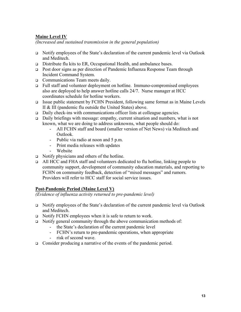### **Maine Level IV**

*(Increased and sustained transmission in the general population)*

- Notify employees of the State's declaration of the current pandemic level via Outlook and Meditech.
- Distribute flu kits to ER, Occupational Health, and ambulance bases.
- Post door signs as per direction of Pandemic Influenza Response Team through Incident Command System.
- Communications Team meets daily.
- Full staff and volunteer deployment on hotline. Immuno-compromised employees also are deployed to help answer hotline calls 24/7. Nurse manager at HCC coordinates schedule for hotline workers.
- Issue public statement by FCHN President, following same format as in Maine Levels II & III (pandemic flu outside the United States) above.
- Daily check-ins with communications officer lists at colleague agencies.
- Daily briefings with message: empathy, current situation and numbers, what is not known, what we are doing to address unknowns, what people should do:
	- All FCHN staff and board (smaller version of Net News) via Meditech and Outlook.
	- Public via radio at noon and 5 p.m.
	- Print media releases with updates
	- Website
- $\Box$  Notify physicians and others of the hotline.
- All HCC and FHA staff and volunteers dedicated to flu hotline, linking people to community support, development of community education materials, and reporting to FCHN on community feedback, detection of "mixed messages" and rumors. Providers will refer to HCC staff for social service issues.

### **Post-Pandemic Period (Maine Level V)**

*(Evidence of influenza activity returned to pre-pandemic level)* 

- Notify employees of the State's declaration of the current pandemic level via Outlook and Meditech.
- $\Box$  Notify FCHN employees when it is safe to return to work.
- Notify general community through the above communication methods of:
	- the State's declaration of the current pandemic level
	- FCHN's return to pre-pandemic operations, when appropriate
	- risk of second wave.
- □ Consider producing a narrative of the events of the pandemic period.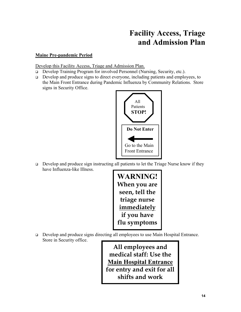# **Facility Access, Triage and Admission Plan**

### **Maine Pre-pandemic Period**

Develop this Facility Access, Triage and Admission Plan.

- □ Develop Training Program for involved Personnel (Nursing, Security, etc.).
- Develop and produce signs to direct everyone, including patients and employees, to the Main Front Entrance during Pandemic Influenza by Community Relations. Store signs in Security Office.



 $\Box$  Develop and produce sign instructing all patients to let the Triage Nurse know if they have Influenza-like Illness.



□ Develop and produce signs directing all employees to use Main Hospital Entrance. Store in Security office.

> **All employees and medical staff: Use the Main Hospital Entrance for entry and exit for all shifts and work**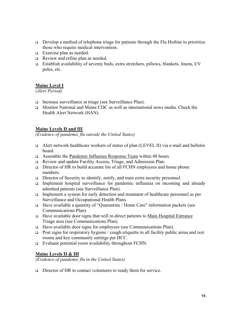- Develop a method of telephone triage for patients through the Flu Hotline to prioritize those who require medical intervention.
- Exercise plan as needed.
- Review and refine plan as needed.
- Establish availability of seventy beds, extra stretchers, pillows, blankets, linens,  $I/V$ poles, etc.

### **Maine Level I**

*(Alert Period)* 

- Increase surveillance at triage (see Surveillance Plan).
- **I.** Monitor National and Maine CDC as well as international news media. Check the Health Alert Network (HAN).

### **Maine Levels II and III**

*(Evidence of pandemic flu outside the United States)* 

- Alert network healthcare workers of status of plan (LEVEL II) via e-mail and bulletin board.
- Assemble the Pandemic Influenza Response Team within 48 hours.
- Review and update Facility Access, Triage, and Admission Plan.
- $\Box$  Director of HR to build accurate list of all FCHN employees and home phone numbers.
- $\Box$  Director of Security to identify, notify, and train extra security personnel.
- Implement hospital surveillance for pandemic influenza on incoming and already admitted patients (see Surveillance Plan).
- Implement a system for early detection and treatment of healthcare personnel as per Surveillance and Occupational Health Plans.
- Have available a quantity of "Quarantine / Home Care" information packets (see Communications Plan).
- Have available door signs that will re-direct patients to Main Hospital Entrance Triage area (see Communications Plan).
- Have available door signs for employees (see Communications Plan).
- **Post signs for respiratory hygiene** / cough etiquette in all facility public areas and rest rooms and key community settings per HCC.
- Evaluate potential room availability throughout FCHN.

#### **Maine Levels II & III**

*(Evidence of pandemic flu in the United States)* 

 $\Box$  Director of HR to contact volunteers to ready them for service.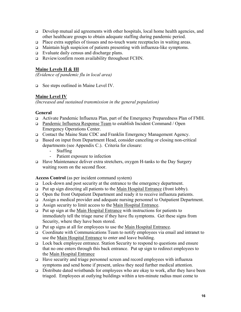- Develop mutual aid agreements with other hospitals, local home health agencies, and other healthcare groups to obtain adequate staffing during pandemic period.
- Place extra supplies of tissues and no-touch waste receptacles in waiting areas.
- Maintain high suspicion of patients presenting with influenza-like symptoms.
- Evaluate daily census and discharge plans.
- Review/confirm room availability throughout FCHN.

### **Maine Levels II & III**

*(Evidence of pandemic flu in local area)* 

See steps outlined in Maine Level IV.

### **Maine Level IV**

*(Increased and sustained transmission in the general population)* 

### **General**

- Activate Pandemic Influenza Plan, part of the Emergency Preparedness Plan of FMH.
- Pandemic Influenza Response Team to establish Incident Command / Open Emergency Operations Center.
- Contact the Maine State CDC and Franklin Emergency Management Agency.
- Based on input from Department Head, consider canceling or closing non-critical departments (see Appendix C.). Criteria for closure:
	- Staffing
	- Patient exposure to infection
- Have Maintenance deliver extra stretchers, oxygen H-tanks to the Day Surgery waiting room on the second floor.

### **Access Control** (as per incident command system)

- □ Lock-down and post security at the entrance to the emergency department.
- $\Box$  Put up sign directing all patients to the Main Hospital Entrance (front lobby).
- Open the front Outpatient Department and ready it to receive influenza patients.
- Assign a medical provider and adequate nursing personnel to Outpatient Department.
- Assign security to limit access to the Main Hospital Entrance.
- Put up sign at the Main Hospital Entrance with instructions for patients to immediately tell the triage nurse if they have flu symptoms. Get these signs from Security, where they have been stored.
- □ Put up signs at all for employees to use the Main Hospital Entrance.
- Coordinate with Communications Team to notify employees via email and intranet to use the Main Hospital Entrance to enter and leave building.
- Lock back employee entrance. Station Security to respond to questions and ensure that no one enters through this back entrance. Put up sign to redirect employees to the Main Hospital Entrance
- Have security and triage personnel screen and record employees with influenza symptoms and send home if present, unless they need further medical attention.
- $\Box$  Distribute dated wristbands for employees who are okay to work, after they have been triaged. Employees at outlying buildings within a ten-minute radius must come to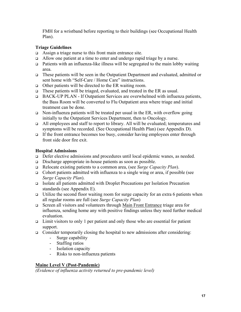FMH for a wristband before reporting to their buildings (see Occupational Health Plan).

### **Triage Guidelines**

- Assign a triage nurse to this front main entrance site.
- Allow one patient at a time to enter and undergo rapid triage by a nurse.
- Patients with an influenza-like illness will be segregated to the main lobby waiting area.
- These patients will be seen in the Outpatient Department and evaluated, admitted or sent home with "Self-Care / Home Care" instructions.
- $\Box$  Other patients will be directed to the ER waiting room.
- $\Box$  These patients will be triaged, evaluated, and treated in the ER as usual.
- □ BACK-UP PLAN If Outpatient Services are overwhelmed with influenza patients, the Bass Room will be converted to Flu Outpatient area where triage and initial treatment can be done.
- $\Box$  Non-influenza patients will be treated per usual in the ER, with overflow going initially to the Outpatient Services Department, then to Oncology.
- All employees and staff to report to library. All will be evaluated; temperatures and symptoms will be recorded. (See Occupational Health Plan) (see Appendix D).
- If the front entrance becomes too busy, consider having employees enter through front side door fire exit.

### **Hospital Admissions**

- □ Defer elective admissions and procedures until local epidemic wanes, as needed.
- Discharge appropriate in-house patients as soon as possible.
- Relocate existing patients to a common area, (see *Surge Capacity Plan*).
- Cohort patients admitted with influenza to a single wing or area, if possible (see *Surge Capacity Plan*).
- Isolate all patients admitted with Droplet Precautions per Isolation Precaution standards (see Appendix E).
- $\Box$  Utilize the second floor waiting room for surge capacity for an extra 6 patients when all regular rooms are full (see *Surge Capacity Plan*)
- Screen all visitors and volunteers through Main Front Entrance triage area for influenza, sending home any with positive findings unless they need further medical evaluation.
- $\Box$  Limit visitors to only 1 per patient and only those who are essential for patient support.
- Consider temporarily closing the hospital to new admissions after considering:
	- Surge capability
	- Staffing ratios
	- Isolation capacity
	- Risks to non-influenza patients

### **Maine Level V (Post-Pandemic)**

*(Evidence of influenza activity returned to pre-pandemic level)*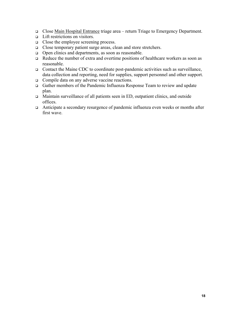- □ Close Main Hospital Entrance triage area return Triage to Emergency Department.
- $\Box$  Lift restrictions on visitors.
- close the employee screening process.
- Close temporary patient surge areas, clean and store stretchers.
- Open clinics and departments, as soon as reasonable.
- Reduce the number of extra and overtime positions of healthcare workers as soon as reasonable.
- $\Box$  Contact the Maine CDC to coordinate post-pandemic activities such as surveillance, data collection and reporting, need for supplies, support personnel and other support.
- Compile data on any adverse vaccine reactions.
- Gather members of the Pandemic Influenza Response Team to review and update plan.
- □ Maintain surveillance of all patients seen in ED, outpatient clinics, and outside offices.
- Anticipate a secondary resurgence of pandemic influenza even weeks or months after first wave.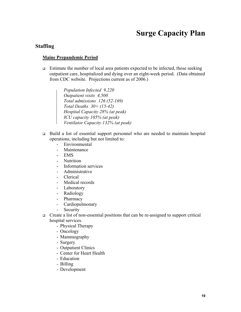# **Surge Capacity Plan**

### **Staffing**

#### **Maine Prepandemic Period**

- $\Box$  Estimate the number of local area patients expected to be infected, those seeking outpatient care, hospitalized and dying over an eight-week period. (Data obtained from CDC website. Projections current as of 2006.)
	- *Population Infected 9,220 Outpatient visits 4,500 Total admissions 126 (52-169) Total Deaths 30+ (15-42) Hospital Capacity 28% (at peak) ICU capacity 105% (at peak) Ventilator Capacity 132% (at peak)*
- Build a list of essential support personnel who are needed to maintain hospital operations, including but not limited to:
	- Environmental
	- **Maintenance**
	- EMS
	- Nutrition
	- Information services
	- Administrative
	- Clerical
	- Medical records
	- Laboratory
	- Radiology
	- Pharmacy
	- Cardiopulmonary
	- Security
- $\Box$  Create a list of non-essential positions that can be re-assigned to support critical hospital services.
	- Physical Therapy
	- Oncology
	- Mammography
	- Surgery
	- Outpatient Clinics
	- Center for Heart Health
	- Education
	- Billing
	- Development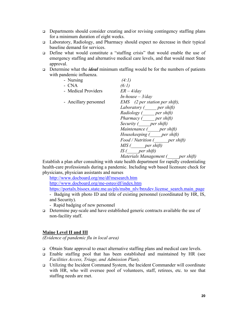- Departments should consider creating and/or revising contingency staffing plans for a minimum duration of eight weeks.
- Laboratory, Radiology, and Pharmacy should expect no decrease in their typical baseline demand for services.
- Define what would constitute a "staffing crisis" that would enable the use of emergency staffing and alternative medical care levels, and that would meet State approval.
- Determine what the *ideal* minimum staffing would be for the numbers of patients with pandemic influenza.

| - Nursing             | (4:1)                                                                             |
|-----------------------|-----------------------------------------------------------------------------------|
| - CNA                 | (6:1)                                                                             |
| - Medical Providers   | $ER-4/day$                                                                        |
|                       | $In-house-3/day$                                                                  |
| - Ancillary personnel | $EMS$ (2 per station per shift),                                                  |
|                       | Laboratory (per shift)                                                            |
|                       | Radiology (per shift)                                                             |
|                       | Pharmacy (per shift)                                                              |
|                       | Security (per shift)                                                              |
|                       | Maintenance (per shift)                                                           |
|                       | Housekeeping (per shift)                                                          |
|                       | Food / Nutrition (per shift)                                                      |
|                       | $MIS$ ( per shift)                                                                |
|                       | $IS($ per shift)                                                                  |
|                       | Materials Management ( per shift)                                                 |
|                       | iblish a nlan after consulting with state health denartment for ranidly credentia |

Establish a plan after consulting with state health department for rapidly credentialing health-care professionals during a pandemic. Including web based licensure check for physicians, physician assistants and nurses

http://www.docboard.org/me/df/mesearch.htm

http://www.docboard.org/me-osteo/df/index.htm

https://portalx.bisoex.state.me.us/pls/msbn\_nlv/bnxdev.license\_search.main\_page

- Badging with photo ID and title of existing personnel (coordinated by HR, IS, and Security).

- Rapid badging of new personnel
- Determine pay-scale and have established generic contracts available the use of non-facility staff.

### **Maine Level II and III**

*(Evidence of pandemic flu in local area)* 

- Obtain State approval to enact alternative staffing plans and medical care levels.
- Enable staffing pool that has been established and maintained by HR (see *Facilities Access, Triage, and Admission Plan*).
- Utilizing the Incident Command System, the Incident Commander will coordinate with HR, who will oversee pool of volunteers, staff, retirees, etc. to see that staffing needs are met.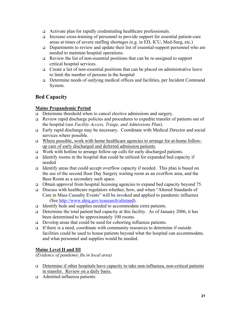- Activate plan for rapidly credentialing healthcare professionals.
- Increase cross-training of personnel to provide support for essential patient-care areas at times of severe staffing shortages (e.g. in ED, ICU, Med-Surg, etc.)
- Departments to review and update their list of essential-support personnel who are needed to maintain hospital operations.
- Review the list of non-essential positions that can be re-assigned to support critical hospital services.
- $\Box$  Create a list of non-essential positions that can be placed on administrative leave to limit the number of persons in the hospital
- Determine needs of outlying medical offices and facilities, per Incident Command System.

### **Bed Capacity**

### **Maine Prepandemic Period**

- Determine threshold when to cancel elective admissions and surgery.
- Review rapid discharge policies and procedures to expedite transfer of patients out of the hospital (see *Facility Access, Triage, and Admissions Plan*).
- Early rapid discharge may be necessary. Coordinate with Medical Director and social services where possible.
- □ Where possible, work with home healthcare agencies to arrange for at-home followup care of early discharged and deferred admission patients.
- $\Box$  Work with hotline to arrange follow-up calls for early discharged patients.
- Identify rooms in the hospital that could be utilized for expanded bed capacity if needed
- Identify areas that could accept overflow capacity if needed. This plan is based on the use of the second floor Day Surgery waiting room as an overflow area, and the Bass Room as a secondary such space.
- Obtain approval from hospital licensing agencies to expand bed capacity beyond 75.
- Discuss with healthcare regulators whether, how, and when "Altered Standards of Care in Mass Casualty Events" will be invoked and applied to pandemic influenza (See http://www.ahrq.gov/reasearch/altstand).
- Identify beds and supplies needed to accommodate extra patients.
- Determine the total patient bed capacity at this facility. As of January 2006, it has been determined to be approximately 100 rooms.
- □ Develop areas that could be used for cohorting influenza patients.
- If there is a need, coordinate with community resources to determine if outside facilities could be used to house patients beyond what the hospital can accommodate, and what personnel and supplies would be needed.

### **Maine Level II and III**

*(Evidence of pandemic flu in local area)* 

- $\Box$  Determine if other hospitals have capacity to take non-influenza, non-critical patients in transfer. Review on a daily basis.
- Admitted influenza patients: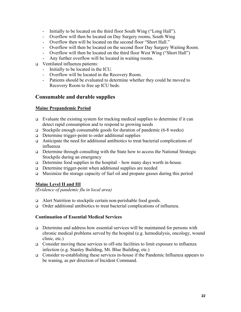- Initially to be located on the third floor South Wing ("Long Hall").
- Overflow will then be located on Day Surgery rooms, South Wing
- Overflow then will be located on the second floor "Short Hall."
- Overflow will then be located on the second floor Day Surgery Waiting Room.
- Overflow will then be located on the third floor West Wing ("Short Hall")
- Any further overflow will be located in waiting rooms.
- □ Ventilated influenza patients:
	- Initially to be located in the ICU.
	- Overflow will be located in the Recovery Room.
	- Patients should be evaluated to determine whether they could be moved to Recovery Room to free up ICU beds.

### **Consumable and durable supplies**

### **Maine Prepandemic Period**

- $\Box$  Evaluate the existing system for tracking medical supplies to determine if it can detect rapid consumption and to respond to growing needs
- Stockpile enough consumable goods for duration of pandemic  $(6-8 \text{ weeks})$
- $\Box$  Determine trigger-point to order additional supplies
- Anticipate the need for additional antibiotics to treat bacterial complications of influenza
- Determine through consulting with the State how to access the National Strategic Stockpile during an emergency
- Determine food supplies in the hospital how many days worth in-house.
- □ Determine trigger-point when additional supplies are needed
- $\Box$  Maximize the storage capacity of fuel oil and propane gasses during this period

### **Maine Level II and III**

*(Evidence of pandemic flu in local area)* 

- Alert Nutrition to stockpile certain non-perishable food goods.
- Order additional antibiotics to treat bacterial complications of influenza.

### **Continuation of Essential Medical Services**

- Determine and address how essential services will be maintained for persons with chronic medical problems served by the hospital (e.g. hemodialysis, oncology, wound clinic, etc.)
- Consider moving these services to off-site facilities to limit exposure to influenza infection (e.g. Stanley Building, Mt. Blue Building, etc.)
- Consider re-establishing these services in-house if the Pandemic Influenza appears to be waning, as per direction of Incident Command.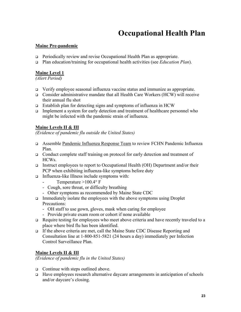# **Occupational Health Plan**

### **Maine Pre-pandemic**

- □ Periodically review and revise Occupational Health Plan as appropriate.
- Plan education/training for occupational health activities (see *Education Plan*).

### **Maine Level 1**

*(Alert Period)* 

- Verify employee seasonal influenza vaccine status and immunize as appropriate.
- Consider administrative mandate that all Health Care Workers (HCW) will receive their annual flu shot
- $\Box$  Establish plan for detecting signs and symptoms of influenza in HCW
- Implement a system for early detection and treatment of healthcare personnel who might be infected with the pandemic strain of influenza.

### **Maine Levels II & III**

*(Evidence of pandemic flu outside the United States)* 

- Assemble Pandemic Influenza Response Team to review FCHN Pandemic Influenza Plan.
- Conduct complete staff training on protocol for early detection and treatment of HCWs.
- Instruct employees to report to Occupational Health (OH) Department and/or their PCP when exhibiting influenza-like symptoms before duty
- $\Box$  Influenza-like Illness include symptoms with:
	- Temperature  $>100.4^{\circ}$  F
	- Cough, sore throat, or difficulty breathing
	- Other symptoms as recommended by Maine State CDC
- Immediately isolate the employees with the above symptoms using Droplet Precautions:
	- OH staff to use gown, gloves, mask when caring for employee
	- Provide private exam room or cohort if none available
- $\Box$  Require testing for employees who meet above criteria and have recently traveled to a place where bird flu has been identified.
- If the above criteria are met, call the Maine State CDC Disease Reporting and Consultation line at 1-800-851-5821 (24 hours a day) immediately per Infection Control Surveillance Plan.

### **Maine Levels II & III**

*(Evidence of pandemic flu in the United States)* 

- $\Box$  Continue with steps outlined above.
- $\Box$  Have employees research alternative daycare arrangements in anticipation of schools and/or daycare's closing.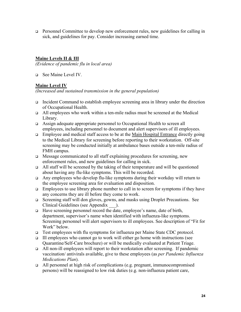Personnel Committee to develop new enforcement rules, new guidelines for calling in sick, and guidelines for pay. Consider increasing earned time.

### **Maine Levels II & III**

*(Evidence of pandemic flu in local area)* 

□ See Maine Level IV.

### **Maine Level IV**

*(Increased and sustained transmission in the general population)* 

- □ Incident Command to establish employee screening area in library under the direction of Occupational Health.
- All employees who work within a ten-mile radius must be screened at the Medical Library.
- Assign adequate appropriate personnel to Occupational Health to screen all employees, including personnel to document and alert supervisors of ill employees.
- $\Box$  Employee and medical staff access to be at the Main Hospital Entrance directly going to the Medical Library for screening before reporting to their workstation. Off-site screening may be conducted initially at ambulance bases outside a ten-mile radius of FMH campus.
- Message communicated to all staff explaining procedures for screening, new enforcement rules, and new guidelines for calling in sick.
- $\Box$  All staff will be screened by the taking of their temperature and will be questioned about having any flu-like symptoms. This will be recorded.
- Any employees who develop flu-like symptoms during their workday will return to the employee screening area for evaluation and disposition.
- $\Box$  Employees to use library phone number to call in to screen for symptoms if they have any concerns they are ill before they come to work.
- Screening staff will don gloves, gowns, and masks using Droplet Precautions. See Clinical Guidelines (see Appendix \_\_\_).
- Have screening personnel record the date, employee's name, date of birth, department, supervisor's name when identified with influenza-like symptoms. Screening personnel will alert supervisors to ill employees. See description of "Fit for Work" below.
- Test employees with flu symptoms for influenza per Maine State CDC protocol.
- $\Box$  Ill employees who cannot go to work will either go home with instructions (see Quarantine/Self-Care brochure) or will be medically evaluated at Patient Triage.
- All non-ill employees will report to their workstation after screening. If pandemic vaccination/ antivirals available, give to these employees (as *per Pandemic Influenza Medications Plan*).
- $\Box$  All personnel at high risk of complications (e.g. pregnant, immunocompromised persons) will be reassigned to low risk duties (e.g. non-influenza patient care,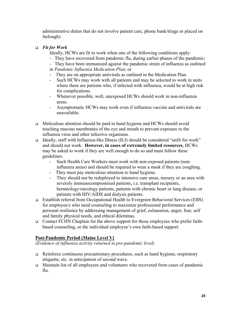administrative duties that do not involve patient care, phone bank/triage or placed on furlough).

### *Fit for Work*

Ideally, HCWs are fit to work when one of the following conditions apply:

- They have recovered from pandemic flu, during earlier phases of the pandemic;
- They have been immunized against the pandemic strain of influenza as outlined in *Pandemic Influenza Medication Plan*; or
- They are on appropriate antivirals as outlined in the Medication Plan.
- Such HCWs may work with all patients and may be selected to work in units where there are patients who, if infected with influenza, would be at high risk for complications.
- Whenever possible, well, unexposed HCWs should work in non-influenza areas.
- Asymptomatic HCWs may work even if influenza vaccine and antivirals are unavailable.
- $\Box$  Meticulous attention should be paid to hand hygiene and HCWs should avoid touching mucous membranes of the eye and mouth to prevent exposure to the influenza virus and other infective organisms.
- Ideally, staff with Influenza-like Illness (ILI) should be considered "unfit for work" and should not work. **However, in cases of extremely limited resources**, HCWs may be asked to work if they are well enough to do so and must follow these guidelines.
	- Such Health Care Workers must work with non-exposed patients (noninfluenza areas) and should be required to wear a mask if they are coughing.
	- They must pay meticulous attention to hand hygiene.
	- They should not be redeployed to intensive care areas, nursery or an area with severely immunocompromised patients, i.e. transplant recipients, hematology/oncology patients, patients with chronic heart or lung disease, or patients with HIV/AIDS and dialysis patients.
- Establish referral from Occupational Health to Evergreen Behavioral Services (EBS) for employee/s who need counseling to maximize professional performance and personal resilience by addressing management of grief, exhaustion, anger, fear, self and family physical needs, and ethical dilemmas.
- Contact FCHN Chaplain for the above support for those employees who prefer faithbased counseling, or the individual employee's own faith-based support.

### **Post-Pandemic Period (Maine Level V)**

*(Evidence of influenza activity returned to pre-pandemic level)* 

- $\Box$  Reinforce continuous precautionary procedures, such as hand hygiene, respiratory etiquette, etc. in anticipation of second wave.
- $\Box$  Maintain list of all employees and volunteers who recovered from cases of pandemic flu.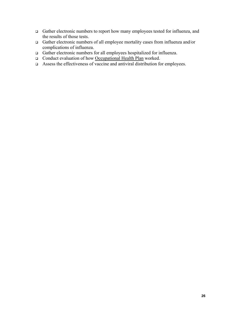- Gather electronic numbers to report how many employees tested for influenza, and the results of those tests.
- Gather electronic numbers of all employee mortality cases from influenza and/or complications of influenza.
- Gather electronic numbers for all employees hospitalized for influenza.
- □ Conduct evaluation of how Occupational Health Plan worked.
- $\Box$  Assess the effectiveness of vaccine and antiviral distribution for employees.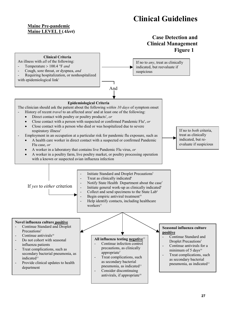# **Clinical Guidelines**

### **Maine Pre-pandemic Maine LEVEL I (***Alert***)**



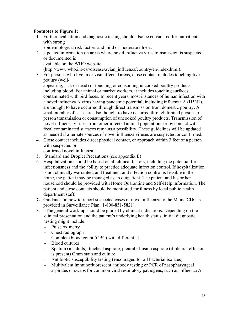### **Footnotes to Figure 1:**

1. Further evaluation and diagnostic testing should also be considered for outpatients with strong

epidemiological risk factors and mild or moderate illness.

2. Updated information on areas where novel influenza virus transmission is suspected or documented is

available on the WHO website

(http://www.who.int/csr/disease/avian\_influenza/country/en/index.html).

3. For persons who live in or visit affected areas, close contact includes touching live poultry (well-

appearing, sick or dead) or touching or consuming uncooked poultry products, including blood. For animal or market workers, it includes touching surfaces contaminated with bird feces. In recent years, most instances of human infection with a novel influenza A virus having pandemic potential, including influenza A (H5N1), are thought to have occurred through direct transmission from domestic poultry. A small number of cases are also thought to have occurred through limited person-toperson transmission or consumption of uncooked poultry products. Transmission of novel influenza viruses from other infected animal populations or by contact with fecal contaminated surfaces remains a possibility. These guidelines will be updated as needed if alternate sources of novel influenza viruses are suspected or confirmed.

4. Close contact includes direct physical contact, or approach within 3 feet of a person with suspected or

confirmed novel influenza.

- 5. Standard and Droplet Precautions (see appendix E)
- 6. Hospitalization should be based on all clinical factors, including the potential for infectiousness and the ability to practice adequate infection control. If hospitalization is not clinically warranted, and treatment and infection control is feasible in the home, the patient may be managed as an outpatient. The patient and his or her household should be provided with Home Quarantine and Self-Help information. The patient and close contacts should be monitored for illness by local public health department staff.
- **7.** Guidance on how to report suspected cases of novel influenza to the Maine CDC is provided in Surveillance Plan (1-800-851-5821).
- 8. The general work-up should be guided by clinical indications. Depending on the clinical presentation and the patient's underlying health status, initial diagnostic testing might include:
	- Pulse oximetry
	- Chest radiograph
	- Complete blood count (CBC) with differential
	- Blood cultures
	- Sputum (in adults), tracheal aspirate, pleural effusion aspirate (if pleural effusion is present) Gram stain and culture
	- Antibiotic susceptibility testing (encouraged for all bacterial isolates)
	- Multivalent immunofluorescent antibody testing or PCR of nasopharyngeal aspirates or swabs for common viral respiratory pathogens, such as influenza A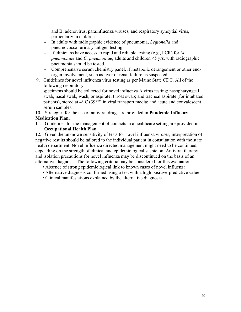and B, adenovirus, parainfluenza viruses, and respiratory syncytial virus, particularly in children

- In adults with radiographic evidence of pneumonia, *Legionella* and pneumococcal urinary antigen testing
- If clinicians have access to rapid and reliable testing (e.g., PCR) for *M. pneumoniae* and *C. pneumoniae*, adults and children <5 yrs. with radiographic pneumonia should be tested.
- Comprehensive serum chemistry panel, if metabolic derangement or other endorgan involvement, such as liver or renal failure, is suspected.
- 9. Guidelines for novel influenza virus testing as per Maine State CDC. All of the following respiratory

specimens should be collected for novel influenza A virus testing: nasopharyngeal swab; nasal swab, wash, or aspirate; throat swab; and tracheal aspirate (for intubated patients), stored at 4° C (39°F) in viral transport media; and acute and convalescent serum samples.

10. Strategies for the use of antiviral drugs are provided in **Pandemic Influenza Medication Plan.**

11. Guidelines for the management of contacts in a healthcare setting are provided in **Occupational Health Plan**.

12. Given the unknown sensitivity of tests for novel influenza viruses, interpretation of negative results should be tailored to the individual patient in consultation with the state health department. Novel influenza directed management might need to be continued, depending on the strength of clinical and epidemiological suspicion. Antiviral therapy and isolation precautions for novel influenza may be discontinued on the basis of an alternative diagnosis. The following criteria may be considered for this evaluation:

- Absence of strong epidemiological link to known cases of novel influenza
- Alternative diagnosis confirmed using a test with a high positive-predictive value
- Clinical manifestations explained by the alternative diagnosis.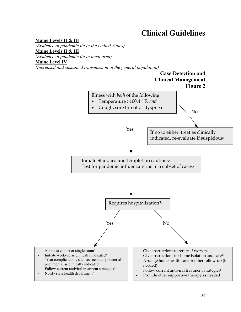# **Clinical Guidelines**

**Maine Levels II & III**  *(Evidence of pandemic flu in the United States)*  **Maine Levels II & III**  *(Evidence of pandemic flu in local area)* **Maine Level IV** *(Increased and sustained transmission in the general population)*

### **Case Detection and Clinical Management Figure 2**

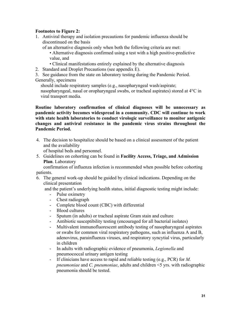### **Footnotes to Figure 2:**

1. Antiviral therapy and isolation precautions for pandemic influenza should be discontinued on the basis

of an alternative diagnosis only when both the following criteria are met:

• Alternative diagnosis confirmed using a test with a high positive-predictive value, and

- Clinical manifestations entirely explained by the alternative diagnosis
- 2. Standard and Droplet Precautions (see appendix E).

3. See guidance from the state on laboratory testing during the Pandemic Period. Generally, specimens

should include respiratory samples (e.g., nasopharyngeal wash/aspirate;

nasopharyngeal, nasal or oropharyngeal swabs, or tracheal aspirates) stored at 4°C in viral transport media.

**Routine laboratory confirmation of clinical diagnoses will be unnecessary as pandemic activity becomes widespread in a community. CDC will continue to work with state health laboratories to conduct virologic surveillance to monitor antigenic changes and antiviral resistance in the pandemic virus strains throughout the Pandemic Period.** 

4. The decision to hospitalize should be based on a clinical assessment of the patient and the availability

of hospital beds and personnel.

5. Guidelines on cohorting can be found in **Facility Access, Triage, and Admission Plan**. Laboratory

confirmation of influenza infection is recommended when possible before cohorting patients.

6. The general work-up should be guided by clinical indications. Depending on the clinical presentation

and the patient's underlying health status, initial diagnostic testing might include:

- Pulse oximetry
- Chest radiograph
- Complete blood count (CBC) with differential
- Blood cultures
- Sputum (in adults) or tracheal aspirate Gram stain and culture
- Antibiotic susceptibility testing (encouraged for all bacterial isolates)
- Multivalent immunofluorescent antibody testing of nasopharyngeal aspirates or swabs for common viral respiratory pathogens, such as influenza A and B, adenovirus, parainfluenza viruses, and respiratory syncytial virus, particularly in children
- In adults with radiographic evidence of pneumonia, *Legionella* and pneumococcal urinary antigen testing
- If clinicians have access to rapid and reliable testing (e.g., PCR) for *M. pneumoniae* and *C. pneumoniae*, adults and children <5 yrs. with radiographic pneumonia should be tested.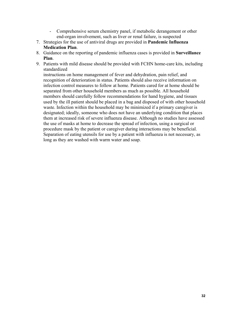- Comprehensive serum chemistry panel, if metabolic derangement or other end-organ involvement, such as liver or renal failure, is suspected
- 7. Strategies for the use of antiviral drugs are provided in **Pandemic Influenza Medication Plan**.
- 8. Guidance on the reporting of pandemic influenza cases is provided in **Surveillance Plan**.
- 9. Patients with mild disease should be provided with FCHN home-care kits, including standardized

instructions on home management of fever and dehydration, pain relief, and recognition of deterioration in status. Patients should also receive information on infection control measures to follow at home. Patients cared for at home should be separated from other household members as much as possible. All household members should carefully follow recommendations for hand hygiene, and tissues used by the ill patient should be placed in a bag and disposed of with other household waste. Infection within the household may be minimized if a primary caregiver is designated; ideally, someone who does not have an underlying condition that places them at increased risk of severe influenza disease. Although no studies have assessed the use of masks at home to decrease the spread of infection, using a surgical or procedure mask by the patient or caregiver during interactions may be beneficial. Separation of eating utensils for use by a patient with influenza is not necessary, as long as they are washed with warm water and soap.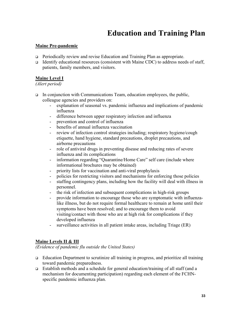# **Education and Training Plan**

### **Maine Pre-pandemic**

- Periodically review and revise Education and Training Plan as appropriate.
- Identify educational resources (consistent with Maine CDC) to address needs of staff, patients, family members, and visitors.

### **Maine Level I**

### *(Alert period)*

- In conjunction with Communications Team, education employees, the public, colleague agencies and providers on:
	- explanation of seasonal vs. pandemic influenza and implications of pandemic influenza
	- difference between upper respiratory infection and influenza
	- prevention and control of influenza
	- benefits of annual influenza vaccination
	- review of infection control strategies including; respiratory hygiene/cough etiquette, hand hygiene, standard precautions, droplet precautions, and airborne precautions
	- role of antiviral drugs in preventing disease and reducing rates of severe influenza and its complications
	- information regarding "Quarantine/Home Care" self care (include where informational brochures may be obtained)
	- priority lists for vaccination and anti-viral prophylaxis
	- policies for restricting visitors and mechanisms for enforcing those policies
	- staffing contingency plans, including how the facility will deal with illness in personnel.
	- the risk of infection and subsequent complications in high-risk groups
	- provide information to encourage those who are symptomatic with influenzalike illness, but do not require formal healthcare to remain at home until their symptoms have been resolved; and to encourage them to avoid visiting/contact with those who are at high risk for complications if they developed influenza
	- surveillance activities in all patient intake areas, including Triage (ER)

### **Maine Levels II & III**

*(Evidence of pandemic flu outside the United States)* 

- Education Department to scrutinize all training in progress, and prioritize all training toward pandemic preparedness.
- Establish methods and a schedule for general education/training of all staff (and a mechanism for documenting participation) regarding each element of the FCHNspecific pandemic influenza plan.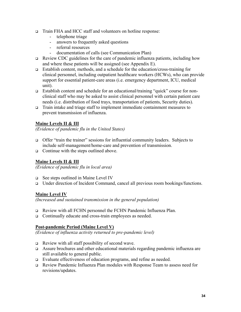- Train FHA and HCC staff and volunteers on hotline response:
	- telephone triage
	- answers to frequently asked questions
	- referral resources
	- documentation of calls (see Communication Plan)
- $\Box$  Review CDC guidelines for the care of pandemic influenza patients, including how and where these patients will be assigned (see Appendix E).
- Establish content, methods, and a schedule for the education/cross-training for clinical personnel, including outpatient healthcare workers (HCWs), who can provide support for essential patient-care areas (i.e. emergency department, ICU, medical unit).
- Establish content and schedule for an educational/training "quick" course for nonclinical staff who may be asked to assist clinical personnel with certain patient care needs (i.e. distribution of food trays, transportation of patients, Security duties).
- Train intake and triage staff to implement immediate containment measures to prevent transmission of influenza.

### **Maine Levels II & III**

*(Evidence of pandemic flu in the United States)* 

- Offer "train the trainer" sessions for influential community leaders. Subjects to include self-management/home-care and prevention of transmission.
- $\Box$  Continue with the steps outlined above.

### **Maine Levels II & III**

*(Evidence of pandemic flu in local area)* 

- □ See steps outlined in Maine Level IV
- Under direction of Incident Command, cancel all previous room bookings/functions.

### **Maine Level IV**

*(Increased and sustained transmission in the general population)* 

- Review with all FCHN personnel the FCHN Pandemic Influenza Plan.
- □ Continually educate and cross-train employees as needed.

### **Post-pandemic Period (Maine Level V)**

*(Evidence of influenza activity returned to pre-pandemic level)* 

- Review with all staff possibility of second wave.
- Assure brochures and other educational materials regarding pandemic influenza are still available to general public.
- Evaluate effectiveness of education programs, and refine as needed.
- Review Pandemic Influenza Plan modules with Response Team to assess need for revisions/updates.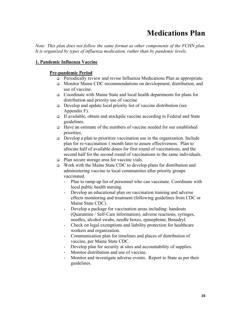# **Medications Plan**

*Note: This plan does not follow the same format as other components of the FCHN plan. It is organized by types of influenza medication, rather than by pandemic levels.* 

#### **1. Pandemic Influenza Vaccine**

#### **Pre-pandemic Period**

- Periodically review and revise Influenza Medications Plan as appropriate.
- Monitor Maine CDC recommendations on development, distribution, and use of vaccine.
- Coordinate with Maine State and local health departments for plans for distribution and priority use of vaccine
- Develop and update local priority list of vaccine distribution (see Appendix F).
- If available, obtain and stockpile vaccine according to Federal and State guidelines.
- Have an estimate of the numbers of vaccine needed for our established priorities.
- $\Box$  Develop a plan to prioritize vaccination use in the organization. Include plan for re-vaccination 1 month later to assure effectiveness. Plan to allocate half of available doses for first round of vaccinations, and the second half for the second round of vaccinations to the same individuals.
- □ Plan secure storage area for vaccine vials.
- Work with the Maine State CDC to develop plans for distribution and administering vaccine to local communities after priority groups vaccinated.
	- Plan to ramp-up list of personnel who can vaccinate. Coordinate with local public health nursing.
	- Develop an educational plan on vaccination training and adverse effects monitoring and treatment (following guidelines from CDC or Maine State CDC).
	- Develop a package for vaccination areas including: handouts (Quarantine / Self-Care information), adverse reactions, syringes, needles, alcohol swabs, needle boxes, epinephrine, Benadryl.
	- Check on legal exemptions and liability protection for healthcare workers and organization.
	- Communication plan for timelines and places of distribution of vaccine, per Maine State CDC.
	- Develop plan for security at sites and accountability of supplies.
	- Monitor distribution and use of vaccine.
	- Monitor and investigate adverse events. Report to State as per their guidelines.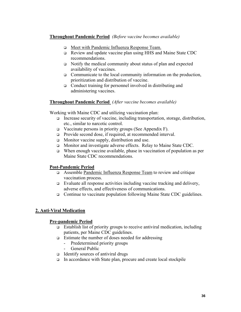### **Throughout Pandemic Period** *(Before vaccine becomes available)*

- Meet with Pandemic Influenza Response Team.
- Review and update vaccine plan using HHS and Maine State CDC recommendations.
- $\Box$  Notify the medical community about status of plan and expected availability of vaccines.
- $\Box$  Communicate to the local community information on the production, prioritization and distribution of vaccine.
- □ Conduct training for personnel involved in distributing and administering vaccines.

### **Throughout Pandemic Period** *(After vaccine becomes available)*

Working with Maine CDC and utilizing vaccination plan:

- Increase security of vaccine, including transportation, storage, distribution, etc., similar to narcotic control.
- $\Box$  Vaccinate persons in priority groups (See Appendix F).
- Provide second dose, if required, at recommended interval.
- □ Monitor vaccine supply, distribution and use.
- □ Monitor and investigate adverse effects. Relay to Maine State CDC.
- When enough vaccine available, phase in vaccination of population as per Maine State CDC recommendations.

### **Post-Pandemic Period**

- Assemble Pandemic Influenza Response Team to review and critique vaccination process.
- $\Box$  Evaluate all response activities including vaccine tracking and delivery, adverse effects, and effectiveness of communications.
- □ Continue to vaccinate population following Maine State CDC guidelines.

### **2. Anti-Viral Medication**

### **Pre-pandemic Period**

- $\Box$  Establish list of priority groups to receive antiviral medication, including patients, per Maine CDC guidelines.
- $\Box$  Estimate the number of doses needed for addressing
	- Predetermined priority groups
	- General Public
- $\Box$  Identify sources of antiviral drugs
- In accordance with State plan, procure and create local stockpile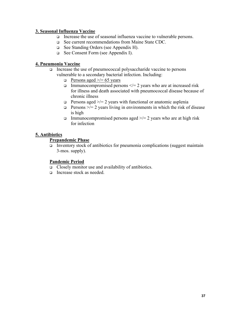### **3. Seasonal Influenza Vaccine**

- Increase the use of seasonal influenza vaccine to vulnerable persons.
- See current recommendations from Maine State CDC.
- See Standing Orders (see Appendix H).
- See Consent Form (see Appendix I).

### **4. Pneumonia Vaccine**

- Increase the use of pneumococcal polysaccharide vaccine to persons vulnerable to a secondary bacterial infection. Including:
	- **D** Persons aged  $\ge$ /= 65 years
	- Immunocompromised persons  $\le$  /= 2 years who are at increased risk for illness and death associated with pneumococcal disease because of chronic illness
	- **Persons aged >/= 2 years with functional or anatomic asplenia**
	- **Persons**  $\ge$ /= 2 years living in environments in which the risk of disease is high
	- Immunocompromised persons aged  $\ge$ /= 2 years who are at high risk for infection

### **5. Antibiotics**

#### **Prepandemic Phase**

Inventory stock of antibiotics for pneumonia complications (suggest maintain 3-mos. supply).

### **Pandemic Period**

- Closely monitor use and availability of antibiotics.
- Increase stock as needed.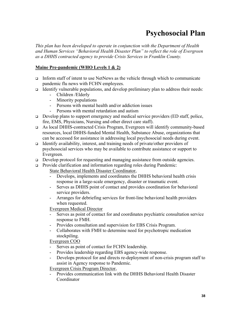# **Psychosocial Plan**

*This plan has been developed to operate in conjunction with the Department of Health and Human Services "Behavioral Health Disaster Plan" to reflect the role of Evergreen as a DHHS contracted agency to provide Crisis Services in Franklin County.* 

### **Maine Pre-pandemic (WHO Levels 1 & 2)**

- Inform staff of intent to use NetNews as the vehicle through which to communicate pandemic flu news with FCHN employees.
- Identify vulnerable populations, and develop preliminary plan to address their needs:
	- Children /Elderly
	- Minority populations
	- Persons with mental health and/or addiction issues
	- Persons with mental retardation and autism
- $\Box$  Develop plans to support emergency and medical service providers (ED staff, police, fire, EMS, Physicians, Nursing and other direct care staff).
- As local DHHS-contracted Crisis Program, Evergreen will identify community-based resources, local DHHS-funded Mental Health, Substance Abuse, organizations that can be accessed for assistance in addressing local psychosocial needs during event.
- Identify availability, interest, and training needs of private/other providers of psychosocial services who may be available to contribute assistance or support to Evergreen.
- □ Develop protocol for requesting and managing assistance from outside agencies.
- □ Provide clarification and information regarding roles during Pandemic: State Behavioral Health Disaster Coordinator,
	- Develops, implements and coordinates the DHHS behavioral health crisis response in a large-scale emergency, disaster or traumatic event.
	- Serves as DHHS point of contact and provides coordination for behavioral service providers.
	- Arranges for debriefing services for front-line behavioral health providers when requested.

Evergreen Medical Director

- Serves as point of contact for and coordinates psychiatric consultation service response to FMH.
- Provides consultation and supervision for EBS Crisis Program.
- Collaborates with FMH to determine need for psychotropic medication stockpiling.

Evergreen COO

- Serves as point of contact for FCHN leadership.
- Provides leadership regarding EBS agency-wide response.
- Develops protocol for and directs re-deployment of non-crisis program staff to assist in Agency response to Pandemic.

Evergreen Crisis Program Director,

- Provides communication link with the DHHS Behavioral Health Disaster Coordinator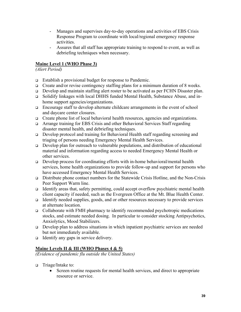- Manages and supervises day-to-day operations and activities of EBS Crisis Response Program to coordinate with local/regional emergency response activities.
- Assures that all staff has appropriate training to respond to event, as well as debriefing techniques when necessary.

### **Maine Level 1 (WHO Phase 3)**

*(Alert Period)* 

- Establish a provisional budget for response to Pandemic.
- $\Box$  Create and/or revise contingency staffing plans for a minimum duration of 8 weeks.
- □ Develop and maintain staffing alert roster to be activated as per FCHN Disaster plan.
- Solidify linkages with local DHHS funded Mental Health, Substance Abuse, and inhome support agencies/organizations.
- Encourage staff to develop alternate childcare arrangements in the event of school and daycare center closures.
- Create phone list of local behavioral health resources, agencies and organizations.
- Arrange training for EBS Crisis and other Behavioral Services Staff regarding disaster mental health, and debriefing techniques.
- Develop protocol and training for Behavioral Health staff regarding screening and triaging of persons needing Emergency Mental Health Services.
- Develop plan for outreach to vulnerable populations, and distribution of educational material and information regarding access to needed Emergency Mental Health or other services.
- $\Box$  Develop process for coordinating efforts with in-home behavioral/mental health services, home health organizations to provide follow-up and support for persons who have accessed Emergency Mental Health Services.
- Distribute phone contact numbers for the Statewide Crisis Hotline, and the Non-Crisis Peer Support Warm line.
- Identify areas that, safety permitting, could accept overflow psychiatric mental health client capacity if needed, such as the Evergreen Office at the Mt. Blue Health Center.
- Identify needed supplies, goods, and or other resources necessary to provide services at alternate location.
- $\Box$  Collaborate with FMH pharmacy to identify recommended psychotropic medications stocks, and estimate needed dosing. In particular to consider stocking Antipsychotics, Anxiolytics, Mood Stabilizers.
- $\Box$  Develop plan to address situations in which inpatient psychiatric services are needed but not immediately available.
- Identify any gaps in service delivery.

### **Maine Levels II & III (WHO Phases 4 & 5)**

*(Evidence of pandemic flu outside the United States)* 

- Triage/Intake to:
	- Screen routine requests for mental health services, and direct to appropriate resource or service.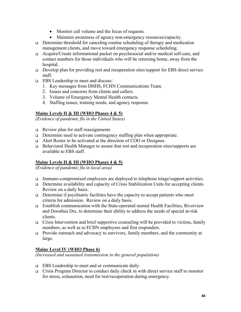- Monitor call volume and the focus of requests.
- Maintain awareness of agency non-emergency resources/capacity.
- $\Box$  Determine threshold for canceling routine scheduling of therapy and medication management clients, and move toward emergency response scheduling.
- Acquire/Create informational packet on psychosocial and/or medical self-care, and contact numbers for those individuals who will be returning home, away from the hospital.
- Develop plan for providing rest and recuperation sites/support for EBS direct service staff.
- EBS Leadership to meet and discuss:
	- 1. Key messages from DHHS, FCHN Communications Team.
	- 2. Issues and concerns from clients and callers.
	- 3. Volume of Emergency Mental Health contacts.
	- 4. Staffing issues, training needs, and agency response.

### **Maine Levels II & III (WHO Phases 4 & 5)**

*(Evidence of pandemic flu in the United States)* 

- $\Box$  Review plan for staff reassignments
- Determine need to activate contingency staffing plan when appropriate.
- Alert Roster to be activated at the direction of COO or Designee.
- □ Behavioral Health Manager to assure that rest and recuperation sites/supports are available to EBS staff.

### **Maine Levels II & III (WHO Phases 4 & 5)**

*(Evidence of pandemic flu in local area)* 

- Immuno-compromised employees are deployed to telephone triage/support activities.
- □ Determine availability and capacity of Crisis Stabilization Units for accepting clients. Review on a daily basis.
- $\Box$  Determine if psychiatric facilities have the capacity to accept patients who meet criteria for admission. Review on a daily basis.
- Establish communication with the State-operated mental Health Facilities, Riverview and Dorothea Dix, to determine their ability to address the needs of special at-risk clients.
- Crisis Intervention and brief supportive counseling will be provided to victims, family members, as well as to FCHN employees and first responders.
- Provide outreach and advocacy to survivors, family members, and the community at large.

### **Maine Level IV (WHO Phase 6)**

*(Increased and sustained transmission in the general population)*

- EBS Leadership to meet and or communicate daily.
- Crisis Program Director to conduct daily check in with direct service staff to monitor for stress, exhaustion, need for rest/recuperation during emergency.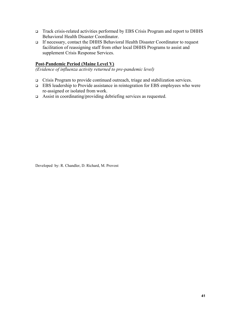- Track crisis-related activities performed by EBS Crisis Program and report to DHHS Behavioral Health Disaster Coordinator.
- If necessary, contact the DHHS Behavioral Health Disaster Coordinator to request facilitation of reassigning staff from other local DHHS Programs to assist and supplement Crisis Response Services.

### **Post-Pandemic Period (Maine Level V)**

*(Evidence of influenza activity returned to pre-pandemic level)* 

- Crisis Program to provide continued outreach, triage and stabilization services.
- EBS leadership to Provide assistance in reintegration for EBS employees who were re-assigned or isolated from work.
- □ Assist in coordinating/providing debriefing services as requested.

Developed by: R. Chandler, D. Richard, M. Provost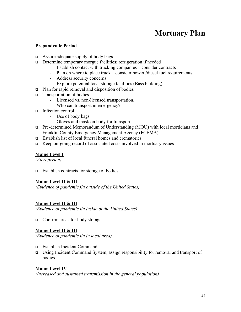# **Mortuary Plan**

#### **Prepandemic Period**

- $\Box$  Assure adequate supply of body bags
- Determine temporary morgue facilities; refrigeration if needed
	- Establish contact with trucking companies consider contracts
	- Plan on where to place truck consider power /diesel fuel requirements
	- Address security concerns
	- Explore potential local storage facilities (Bass building)
- $\Box$  Plan for rapid removal and disposition of bodies
- $\Box$  Transportation of bodies
	- Licensed vs. non-licensed transportation.
	- Who can transport in emergency?
- Infection control
	- Use of body bags
	- Gloves and mask on body for transport
- □ Pre-determined Memorandum of Understanding (MOU) with local morticians and Franklin County Emergency Management Agency (FCEMA)
- Establish list of local funeral homes and crematories
- **EXECUTE:** Exercise Ferrer Costs involved in mortuary issues

### **Maine Level I**

*(Alert period)* 

 $\Box$  Establish contracts for storage of bodies

### **Maine Level II & III**

*(Evidence of pandemic flu outside of the United States)* 

### **Maine Level II & III**

*(Evidence of pandemic flu inside of the United States)* 

□ Confirm areas for body storage

#### **Maine Level II & III**

*(Evidence of pandemic flu in local area)* 

- Establish Incident Command
- Using Incident Command System, assign responsibility for removal and transport of bodies

#### **Maine Level IV**

*(Increased and sustained transmission in the general population)*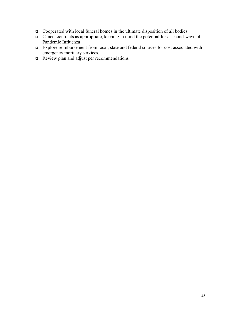- Cooperated with local funeral homes in the ultimate disposition of all bodies
- $\Box$  Cancel contracts as appropriate, keeping in mind the potential for a second-wave of Pandemic Influenza
- Explore reimbursement from local, state and federal sources for cost associated with emergency mortuary services.
- $\Box$  Review plan and adjust per recommendations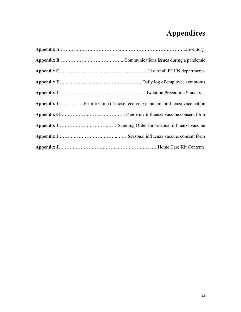# **Appendices**

| <b>Appendix F</b> Prioritization of those receiving pandemic influenza vaccination |
|------------------------------------------------------------------------------------|
|                                                                                    |
|                                                                                    |
|                                                                                    |
|                                                                                    |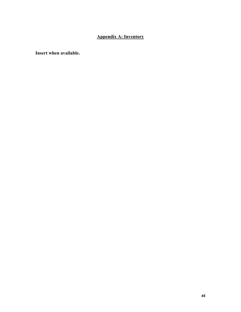### **Appendix A: Inventory**

**Insert when available.**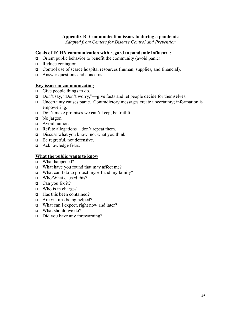### **Appendix B: Communication issues to during a pandemic**

*Adapted from Centers for Disease Control and Prevention* 

#### **Goals of FCHN communication with regard to pandemic influenza**:

- $\Box$  Orient public behavior to benefit the community (avoid panic).
- Reduce contagion.
- □ Control use of scarce hospital resources (human, supplies, and financial).
- □ Answer questions and concerns.

#### **Key issues in communicating**

- Give people things to do.
- □ Don't say, "Don't worry,"—give facts and let people decide for themselves.
- Uncertainty causes panic. Contradictory messages create uncertainty; information is empowering.
- Don't make promises we can't keep, be truthful.
- $\Box$  No jargon.
- Avoid humor.
- □ Refute allegations—don't repeat them.
- $\Box$  Discuss what you know, not what you think.
- □ Be regretful, not defensive.
- a Acknowledge fears.

#### **What the public wants to know**

- □ What happened?
- What have you found that may affect me?
- What can I do to protect myself and my family?
- □ Who/What caused this?
- $\Box$  Can you fix it?
- $\Box$  Who is in charge?
- $\Box$  Has this been contained?
- $\Box$  Are victims being helped?
- □ What can I expect, right now and later?
- What should we do?
- □ Did you have any forewarning?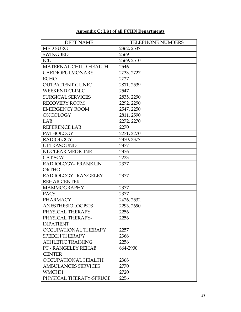### **Appendix C: List of all FCHN Departments**

| <b>DEPT NAME</b>           | <b>TELEPHONE NUMBERS</b> |
|----------------------------|--------------------------|
| <b>MED SURG</b>            | 2362, 2537               |
| <b>SWINGBED</b>            | 2569                     |
| ICU                        | 2569, 2510               |
| MATERNAL CHILD HEALTH      | 2546                     |
| <b>CARDIOPULMONARY</b>     | 2733, 2727               |
| <b>ECHO</b>                | 2727                     |
| <b>OUTPATIENT CLINIC</b>   | 2811, 2539               |
| <b>WEEKEND CLINIC</b>      | 2547                     |
| <b>SURGICAL SERVICES</b>   | 2835, 2290               |
| <b>RECOVERY ROOM</b>       | 2292, 2290               |
| <b>EMERGENCY ROOM</b>      | 2547, 2250               |
| <b>ONCOLOGY</b>            | 2811, 2590               |
| LAB                        | 2272, 2270               |
| <b>REFERENCE LAB</b>       | 2270                     |
| PATHOLOGY                  | 2271, 2270               |
| <b>RADIOLOGY</b>           | 2370, 2377               |
| <b>ULTRASOUND</b>          | 2377                     |
| NUCLEAR MEDICINE           | 2376                     |
| CAT SCAT                   | 2223                     |
| RAD IOLOGY- FRANKLIN       | 2377                     |
| <b>ORTHO</b>               |                          |
| RAD IOLOGY-RANGELEY        | 2377                     |
| <b>REHAB CENTER</b>        |                          |
| <b>MAMMOGRAPHY</b>         | 2377                     |
| <b>PACS</b>                | 2377                     |
| <b>PHARMACY</b>            | 2426, 2532               |
| <b>ANESTHESIOLOGISTS</b>   | 2293, 2690               |
| PHYSICAL THERAPY           | 2256                     |
| PHYSICAL THERAPY-          | 2256                     |
| <b>INPATIENT</b>           |                          |
| OCCUPATIONAL THERAPY       | 2257                     |
| <b>SPEECH THERAPY</b>      | 2366                     |
| <b>ATHLETIC TRAINING</b>   | 2256                     |
| PT - RANGELEY REHAB        | 864-2900                 |
| <b>CENTER</b>              |                          |
| OCCUPATIONAL HEALTH        | 2368                     |
| <b>AMBULANCES SERVICES</b> | 2770                     |
| <b>WMCHH</b>               | 2720                     |
| PHYSICAL THERAPY-SPRUCE    | 2256                     |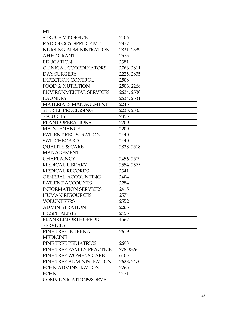| <b>MT</b>                     |            |
|-------------------------------|------------|
| <b>SPRUCE MT OFFICE</b>       | 2406       |
| RADIOLOGY-SPRUCE MT           | 2377       |
| NURSING ADMINISTRATION        | 2831, 2339 |
| <b>AHEC GRANT</b>             | 2575       |
| <b>EDUCATION</b>              | 2381       |
| <b>CLINICAL COORDINATORS</b>  | 2766, 2811 |
| <b>DAY SURGERY</b>            | 2225, 2835 |
| <b>INFECTION CONTROL</b>      | 2508       |
| <b>FOOD &amp; NUTRITION</b>   | 2503, 2268 |
| <b>ENVIRONMENTAL SERVICES</b> | 2634, 2530 |
| <b>LAUNDRY</b>                | 2634, 2531 |
| <b>MATERIALS MANAGEMENT</b>   | 2246       |
| <b>STERILE PROCESSING</b>     | 2238, 2835 |
| <b>SECURITY</b>               | 2355       |
| PLANT OPERATIONS              | 2200       |
| <b>MAINTENANCE</b>            | 2200       |
| PATIENT REGISTRATION          | 2440       |
| <b>SWITCHBOARD</b>            | 2440       |
| <b>OUALITY &amp; CARE</b>     | 2828, 2518 |
| <b>MANAGEMENT</b>             |            |
| <b>CHAPLAINCY</b>             | 2456, 2509 |
| MEDICAL LIBRARY               | 2554, 2575 |
| <b>MEDICAL RECORDS</b>        | 2341       |
| <b>GENERAL ACCOUNTING</b>     | 2404       |
| PATIENT ACCOUNTS              | 2284       |
| <b>INFORMATION SERVICES</b>   | 2415       |
| <b>HUMAN RESOURCES</b>        | 2574       |
| <b>VOLUNTEERS</b>             | 2552       |
| <b>ADMINISTRATION</b>         | 2265       |
| <b>HOSPITALISTS</b>           | 2455       |
| <b>FRANKLIN ORTHOPEDIC</b>    | 4567       |
| <b>SERVICES</b>               |            |
| PINE TREE INTERNAL            | 2619       |
| <b>MEDICINE</b>               |            |
| PINE TREE PEDIATRICS          | 2698       |
| PINE TREE FAMILY PRACTICE     | 778-3326   |
| PINE TREE WOMENS CARE         | 6405       |
| PINE TREE ADMINISTRATION      | 2628, 2470 |
| <b>FCHN ADMINSTRATION</b>     | 2265       |
| <b>FCHN</b>                   | 2471       |
| COMMUNICATIONS&DEVEL          |            |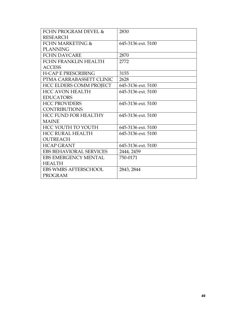| <b>FCHN PROGRAM DEVEL &amp;</b> | 2830               |
|---------------------------------|--------------------|
| <b>RESEARCH</b>                 |                    |
| FCHN MARKETING &                | 645-3136 ext. 5100 |
| <b>PLANNING</b>                 |                    |
| <b>FCHN DAYCARE</b>             | 2870               |
| FCHN FRANKLIN HEALTH            | 2772               |
| <b>ACCESS</b>                   |                    |
| <b>H-CAP E PRESCRIBING</b>      | 3155               |
| PTMA CARRABASSETT CLINIC        | 2628               |
| <b>HCC ELDERS COMM PROJECT</b>  | 645-3136 ext. 5100 |
| <b>HCC AVON HEALTH</b>          | 645-3136 ext. 5100 |
| <b>EDUCATORS</b>                |                    |
| <b>HCC PROVIDERS</b>            | 645-3136 ext. 5100 |
| <b>CONTRIBUTIONS</b>            |                    |
| <b>HCC FUND FOR HEALTHY</b>     | 645-3136 ext. 5100 |
| <b>MAINE</b>                    |                    |
| HCC YOUTH TO YOUTH              | 645-3136 ext. 5100 |
| <b>HCC RURAL HEALTH</b>         | 645-3136 ext. 5100 |
| <b>OUTREACH</b>                 |                    |
| <b>HCAP GRANT</b>               | 645-3136 ext. 5100 |
| <b>EBS BEHAVIORAL SERVICES</b>  | 2444, 2459         |
| <b>EBS EMERGENCY MENTAL</b>     | 750-0171           |
| <b>HEALTH</b>                   |                    |
| <b>EBS WMRS AFTERSCHOOL</b>     | 2843, 2844         |
| <b>PROGRAM</b>                  |                    |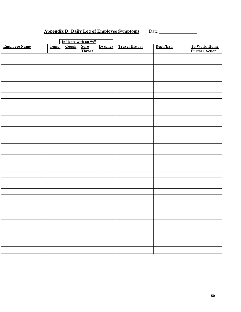## **Appendix D: Daily Log of Employee Symptoms** Date \_\_\_\_\_\_\_\_\_\_\_\_\_\_\_\_

| Indicate with an " $x$ " |       |       |                |                |                       |            |                                          |
|--------------------------|-------|-------|----------------|----------------|-----------------------|------------|------------------------------------------|
| <b>Employee Name</b>     | Temp. | Cough | Sore<br>Throat | <b>Dyspnea</b> | <b>Travel History</b> | Dept./Ext. | <b>To Work, Home,<br/>Further Action</b> |
|                          |       |       |                |                |                       |            |                                          |
|                          |       |       |                |                |                       |            |                                          |
|                          |       |       |                |                |                       |            |                                          |
|                          |       |       |                |                |                       |            |                                          |
|                          |       |       |                |                |                       |            |                                          |
|                          |       |       |                |                |                       |            |                                          |
|                          |       |       |                |                |                       |            |                                          |
|                          |       |       |                |                |                       |            |                                          |
|                          |       |       |                |                |                       |            |                                          |
|                          |       |       |                |                |                       |            |                                          |
|                          |       |       |                |                |                       |            |                                          |
|                          |       |       |                |                |                       |            |                                          |
|                          |       |       |                |                |                       |            |                                          |
|                          |       |       |                |                |                       |            |                                          |
|                          |       |       |                |                |                       |            |                                          |
|                          |       |       |                |                |                       |            |                                          |
|                          |       |       |                |                |                       |            |                                          |
|                          |       |       |                |                |                       |            |                                          |
|                          |       |       |                |                |                       |            |                                          |
|                          |       |       |                |                |                       |            |                                          |
|                          |       |       |                |                |                       |            |                                          |
|                          |       |       |                |                |                       |            |                                          |
|                          |       |       |                |                |                       |            |                                          |
|                          |       |       |                |                |                       |            |                                          |
|                          |       |       |                |                |                       |            |                                          |
|                          |       |       |                |                |                       |            |                                          |
|                          |       |       |                |                |                       |            |                                          |
|                          |       |       |                |                |                       |            |                                          |
|                          |       |       |                |                |                       |            |                                          |
|                          |       |       |                |                |                       |            |                                          |
|                          |       |       |                |                |                       |            |                                          |
|                          |       |       |                |                |                       |            |                                          |
|                          |       |       |                |                |                       |            |                                          |
|                          |       |       |                |                |                       |            |                                          |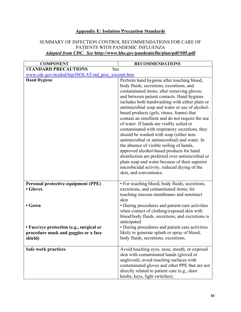### **Appendix E: Isolation Precaution Standards**

#### SUMMARY OF INFECTION CONTROL RECOMMENDATIONS FOR CARE OF PATIENTS WITH PANDEMIC INFLUENZA *Adapted from CDC. See* **http://www.hhs.gov/pandemicflu/plan/pdf/S05.pdf**

| <b>COMPONENT</b>                                    | <b>RECOMMENDATIONS</b>                                                                             |
|-----------------------------------------------------|----------------------------------------------------------------------------------------------------|
| <b>STANDARD PRECAUTIONS</b><br>See                  |                                                                                                    |
| www.cdc.gov/ncidod/hip/ISOLAT/std prec excerpt.htm. |                                                                                                    |
| <b>Hand Hygiene</b>                                 | Perform hand hygiene after touching blood,<br>body fluids, secretions, excretions, and             |
|                                                     | contaminated items; after removing gloves;                                                         |
|                                                     | and between patient contacts. Hand hygiene                                                         |
|                                                     | includes both handwashing with either plain or                                                     |
|                                                     | antimicrobial soap and water or use of alcohol-                                                    |
|                                                     | based products (gels, rinses, foams) that                                                          |
|                                                     | contain an emollient and do not require the use                                                    |
|                                                     | of water. If hands are visibly soiled or                                                           |
|                                                     | contaminated with respiratory secretions, they                                                     |
|                                                     | should be washed with soap (either non-                                                            |
|                                                     | antimicrobial or antimicrobial) and water. In                                                      |
|                                                     | the absence of visible soiling of hands,                                                           |
|                                                     | approved alcohol-based products for hand                                                           |
|                                                     | disinfection are preferred over antimicrobial or<br>plain soap and water because of their superior |
|                                                     | microbicidal activity, reduced drying of the                                                       |
|                                                     | skin, and convenience.                                                                             |
|                                                     |                                                                                                    |
| Personal protective equipment (PPE)                 | • For touching blood, body fluids, secretions,                                                     |
| • Gloves                                            | excretions, and contaminated items; for                                                            |
|                                                     | touching mucous membranes and nonintact                                                            |
|                                                     | skin                                                                                               |
| $\bullet$ Gown                                      | • During procedures and patient-care activities                                                    |
|                                                     | when contact of clothing/exposed skin with                                                         |
|                                                     | blood/body fluids, secretions, and excretions is                                                   |
|                                                     | anticipated                                                                                        |
| • Face/eye protection (e.g., surgical or            | • During procedures and patient care activities                                                    |
| procedure mask and goggles or a face                | likely to generate splash or spray of blood,                                                       |
| shield)                                             | body fluids, secretions, excretions.                                                               |
| Safe work practices                                 | Avoid touching eyes, nose, mouth, or exposed                                                       |
|                                                     | skin with contaminated hands (gloved or                                                            |
|                                                     | ungloved); avoid touching surfaces with                                                            |
|                                                     | contaminated gloves and other PPE that are not                                                     |
|                                                     | directly related to patient care (e.g., door                                                       |
|                                                     | knobs, keys, light switches).                                                                      |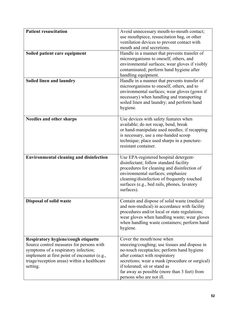| Patient resuscitation                                                                                                                                                                                                              | Avoid unnecessary mouth-to-mouth contact;<br>use mouthpiece, resuscitation bag, or other<br>ventilation devices to prevent contact with<br>mouth and oral secretions.                                                                                                                                                      |
|------------------------------------------------------------------------------------------------------------------------------------------------------------------------------------------------------------------------------------|----------------------------------------------------------------------------------------------------------------------------------------------------------------------------------------------------------------------------------------------------------------------------------------------------------------------------|
| Soiled patient care equipment                                                                                                                                                                                                      | Handle in a manner that prevents transfer of<br>microorganisms to oneself, others, and<br>environmental surfaces; wear gloves if visibly<br>contaminated; perform hand hygiene after<br>handling equipment.                                                                                                                |
| Soiled linen and laundry                                                                                                                                                                                                           | Handle in a manner that prevents transfer of<br>microorganisms to oneself, others, and to<br>environmental surfaces; wear gloves (gown if<br>necessary) when handling and transporting<br>soiled linen and laundry; and perform hand<br>hygiene.                                                                           |
| <b>Needles and other sharps</b>                                                                                                                                                                                                    | Use devices with safety features when<br>available; do not recap, bend, break<br>or hand-manipulate used needles; if recapping<br>is necessary, use a one-handed scoop<br>technique; place used sharps in a puncture-<br>resistant container.                                                                              |
| <b>Environmental cleaning and disinfection</b>                                                                                                                                                                                     | Use EPA-registered hospital detergent-<br>disinfectant; follow standard facility<br>procedures for cleaning and disinfection of<br>environmental surfaces; emphasize<br>cleaning/disinfection of frequently touched<br>surfaces (e.g., bed rails, phones, lavatory<br>surfaces).                                           |
| <b>Disposal of solid waste</b>                                                                                                                                                                                                     | Contain and dispose of solid waste (medical<br>and non-medical) in accordance with facility<br>procedures and/or local or state regulations;<br>wear gloves when handling waste; wear gloves<br>when handling waste containers; perform hand<br>hygiene.                                                                   |
| Respiratory hygiene/cough etiquette<br>Source control measures for persons with<br>symptoms of a respiratory infection;<br>implement at first point of encounter (e.g.,<br>triage/reception areas) within a healthcare<br>setting. | Cover the mouth/nose when<br>sneezing/coughing; use tissues and dispose in<br>no-touch receptacles; perform hand hygiene<br>after contact with respiratory<br>secretions; wear a mask (procedure or surgical)<br>if tolerated; sit or stand as<br>far away as possible (more than 3 feet) from<br>persons who are not ill. |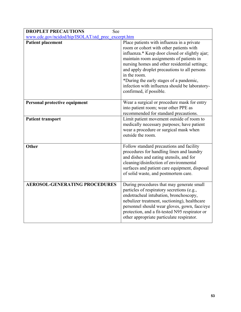| <b>DROPLET PRECAUTIONS</b><br>See                  |                                                                                                                                                                                                                                                                                                                                                                                                                              |
|----------------------------------------------------|------------------------------------------------------------------------------------------------------------------------------------------------------------------------------------------------------------------------------------------------------------------------------------------------------------------------------------------------------------------------------------------------------------------------------|
| www.cdc.gov/ncidod/hip/ISOLAT/std_prec_excerpt.htm |                                                                                                                                                                                                                                                                                                                                                                                                                              |
| <b>Patient placement</b>                           | Place patients with influenza in a private<br>room or cohort with other patients with<br>influenza.* Keep door closed or slightly ajar;<br>maintain room assignments of patients in<br>nursing homes and other residential settings;<br>and apply droplet precautions to all persons<br>in the room.<br>*During the early stages of a pandemic,<br>infection with influenza should be laboratory-<br>confirmed, if possible. |
| Personal protective equipment                      | Wear a surgical or procedure mask for entry<br>into patient room; wear other PPE as<br>recommended for standard precautions.                                                                                                                                                                                                                                                                                                 |
| <b>Patient transport</b>                           | Limit patient movement outside of room to<br>medically necessary purposes; have patient<br>wear a procedure or surgical mask when<br>outside the room.                                                                                                                                                                                                                                                                       |
| <b>Other</b>                                       | Follow standard precautions and facility<br>procedures for handling linen and laundry<br>and dishes and eating utensils, and for<br>cleaning/disinfection of environmental<br>surfaces and patient care equipment, disposal<br>of solid waste, and postmortem care.                                                                                                                                                          |
| <b>AEROSOL-GENERATING PROCEDURES</b>               | During procedures that may generate small<br>particles of respiratory secretions (e.g.,<br>endotracheal intubation, bronchoscopy,<br>nebulizer treatment, suctioning), healthcare<br>personnel should wear gloves, gown, face/eye<br>protection, and a fit-tested N95 respirator or<br>other appropriate particulate respirator.                                                                                             |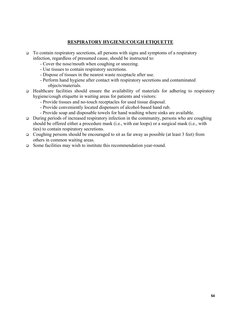### **RESPIRATORY HYGIENE/COUGH ETIQUETTE**

- To contain respiratory secretions, all persons with signs and symptoms of a respiratory infection, regardless of presumed cause, should be instructed to:
	- Cover the nose/mouth when coughing or sneezing.
	- Use tissues to contain respiratory secretions.
	- Dispose of tissues in the nearest waste receptacle after use.
	- Perform hand hygiene after contact with respiratory secretions and contaminated objects/materials.
- Healthcare facilities should ensure the availability of materials for adhering to respiratory hygiene/cough etiquette in waiting areas for patients and visitors:
	- Provide tissues and no-touch receptacles for used tissue disposal.
	- Provide conveniently located dispensers of alcohol-based hand rub.
	- Provide soap and disposable towels for hand washing where sinks are available.
- $\Box$  During periods of increased respiratory infection in the community, persons who are coughing should be offered either a procedure mask (i.e., with ear loops) or a surgical mask (i.e., with ties) to contain respiratory secretions.
- Coughing persons should be encouraged to sit as far away as possible (at least 3 feet) from others in common waiting areas.
- □ Some facilities may wish to institute this recommendation year-round.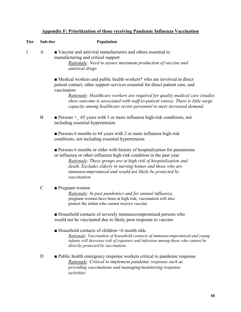| Appendix F: Prioritization of those receiving Pandemic Influenza Vaccination |  |  |
|------------------------------------------------------------------------------|--|--|
|                                                                              |  |  |

| <b>Tier</b>  | Sub-tier      | Population                                                                                                                                                                                                                                                                                                                                                                                                                      |
|--------------|---------------|---------------------------------------------------------------------------------------------------------------------------------------------------------------------------------------------------------------------------------------------------------------------------------------------------------------------------------------------------------------------------------------------------------------------------------|
| $\mathbf{1}$ | $\mathbf{A}$  | ■ Vaccine and antiviral manufacturers and others essential to<br>manufacturing and critical support<br>Rationale: Need to assure maximum production of vaccine and<br>antiviral drugs                                                                                                                                                                                                                                           |
|              |               | • Medical workers and public health workers <sup>*</sup> who are involved in direct<br>patient contact, other support services essential for direct patient care, and<br>vaccinators<br>Rationale: Healthcare workers are required for quality medical care (studies<br>show outcome is associated with staff-to-patient ratios). There is little surge<br>capacity among healthcare sector personnel to meet increased demand. |
|              | $\bf{B}$      | <b>Persons</b> > 65 years with 1 or more influenza high-risk conditions, not<br>including essential hypertension                                                                                                                                                                                                                                                                                                                |
|              |               | Persons 6 months to 64 years with 2 or more influenza high-risk<br>conditions, not including essential hypertension                                                                                                                                                                                                                                                                                                             |
|              |               | <b>Persons 6 months or older with history of hospitalization for pneumonia</b><br>or influenza or other influenza high-risk condition in the past year<br>Rationale: These groups are at high risk of hospitalization and<br>death. Excludes elderly in nursing homes and those who are<br>immunocompromised and would not likely be protected by<br>vaccination                                                                |
|              | $\mathcal{C}$ | $\blacksquare$ Pregnant women<br>Rationale: In past pandemics and for annual influenza,<br>pregnant women have been at high risk; vaccination will also<br>protect the infant who cannot receive vaccine.                                                                                                                                                                                                                       |
|              |               | Household contacts of severely immunocompromised persons who<br>would not be vaccinated due to likely poor response to vaccine                                                                                                                                                                                                                                                                                                  |
|              |               | $\blacksquare$ Household contacts of children $\leq 6$ month olds<br>Rationale: Vaccination of household contacts of immunocompromised and young<br>infants will decrease risk of exposure and infection among those who cannot be<br>directly protected by vaccination.                                                                                                                                                        |
|              | D             | • Public health emergency response workers critical to pandemic response<br>Rationale: Critical to implement pandemic response such as                                                                                                                                                                                                                                                                                          |

 *providing vaccinations and managing/monitoring response* 

 *activities* 

**55**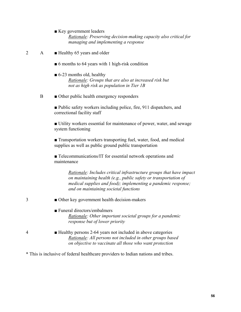- Key government leaders *Rationale: Preserving decision-making capacity also critical for managing and implementing a response*
- 2 A **Exercise** Healthy 65 years and older
	- 6 months to 64 years with 1 high-risk condition
	- $\blacksquare$  6-23 months old, healthy *Rationale: Groups that are also at increased risk but not as high risk as population in Tier 1B*
	- B Other public health emergency responders

■ Public safety workers including police, fire, 911 dispatchers, and correctional facility staff

 ■ Utility workers essential for maintenance of power, water, and sewage system functioning

■ Transportation workers transporting fuel, water, food, and medical supplies as well as public ground public transportation

■ Telecommunications/IT for essential network operations and maintenance

> *Rationale: Includes critical infrastructure groups that have impact on maintaining health (e.g., public safety or transportation of medical supplies and food); implementing a pandemic response; and on maintaining societal functions*

- 3 **•••** Other key government health decision-makers
	- Funeral directors/embalmers *Rationale: Other important societal groups for a pandemic response but of lower priority*
- 4 Healthy persons 2-64 years not included in above categories *Rationale: All persons not included in other groups based on objective to vaccinate all those who want protection*

\* This is inclusive of federal healthcare providers to Indian nations and tribes.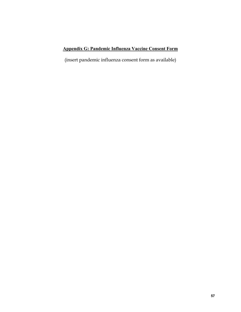### **Appendix G: Pandemic Influenza Vaccine Consent Form**

(insert pandemic influenza consent form as available)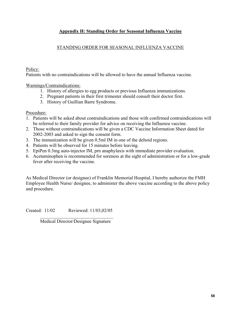### **Appendix H: Standing Order for Seasonal Influenza Vaccine**

### STANDING ORDER FOR SEASONAL INFLUENZA VACCINE

Policy:

Patients with no contraindications will be allowed to have the annual Influenza vaccine.

Warnings/Contraindications:

- 1. History of allergies to egg products or previous Influenza immunizations.
- 2. Pregnant patients in their first trimester should consult their doctor first.
- 3. History of Guillian Barre Syndrome.

Procedure:

- 1. Patients will be asked about contraindications and those with confirmed contraindications will be referred to their family provider for advice on receiving the Influenza vaccine.
- 2. Those without contraindications will be given a CDC Vaccine Information Sheet dated for 2002-2003 and asked to sign the consent form.
- 3. The immunization will be given 0.5ml IM in one of the deltoid regions.
- 4. Patients will be observed for 15 minutes before leaving.
- 5. EpiPen 0.3mg auto-injector IM, prn anaphylaxis with immediate provider evaluation.
- 6. Acetaminophen is recommended for soreness at the sight of administration or for a low-grade fever after receiving the vaccine.

As Medical Director (or designee) of Franklin Memorial Hospital, I hereby authorize the FMH Employee Health Nurse/ designee, to administer the above vaccine according to the above policy and procedure.

Created: 11/02 Reviewed: 11/03,02/05 \_\_\_\_\_\_\_\_\_\_\_\_\_\_\_\_\_\_\_\_\_\_\_\_\_\_\_\_\_\_\_

Medical Director/Designee Signature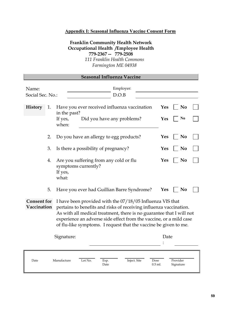### **Appendix I: Seasonal Influenza Vaccine Consent Form**

### **Franklin Community Health Network Occupational Health /Employee Health 779-2367 -- 779-2508**  *111 Franklin Health Commons Farmington ME 04938*

| <b>Seasonal Influenza Vaccine</b> |    |                                                                                                                                                                                                                                                                                                                                                   |            |                       |  |  |
|-----------------------------------|----|---------------------------------------------------------------------------------------------------------------------------------------------------------------------------------------------------------------------------------------------------------------------------------------------------------------------------------------------------|------------|-----------------------|--|--|
| Name:<br>Social Sec. No.:         |    | Employer:<br>D.O.B                                                                                                                                                                                                                                                                                                                                |            |                       |  |  |
| <b>History</b>                    | 1. | Have you ever received influenza vaccination<br>in the past?                                                                                                                                                                                                                                                                                      | <b>Yes</b> | N <sub>0</sub>        |  |  |
|                                   |    | If yes,<br>Did you have any problems?<br>when:                                                                                                                                                                                                                                                                                                    | Yes        | No                    |  |  |
|                                   | 2. | Do you have an allergy to egg products?                                                                                                                                                                                                                                                                                                           | <b>Yes</b> | N <sub>0</sub>        |  |  |
|                                   | 3. | Is there a possibility of pregnancy?                                                                                                                                                                                                                                                                                                              | <b>Yes</b> | N <sub>0</sub>        |  |  |
|                                   | 4. | Are you suffering from any cold or flu<br>symptoms currently?<br>If yes,<br>what:                                                                                                                                                                                                                                                                 | Yes        | N <sub>o</sub>        |  |  |
|                                   | 5. | Have you ever had Guillian Barre Syndrome?                                                                                                                                                                                                                                                                                                        | <b>Yes</b> | N <sub>0</sub>        |  |  |
| <b>Consent for</b><br>Vaccination |    | I have been provided with the 07/18/05 Influenza VIS that<br>pertains to benefits and risks of receiving influenza vaccination.<br>As with all medical treatment, there is no guarantee that I will not<br>experience an adverse side effect from the vaccine, or a mild case<br>of flu-like symptoms. I request that the vaccine be given to me. |            |                       |  |  |
| Signature:                        |    |                                                                                                                                                                                                                                                                                                                                                   | Date       |                       |  |  |
| Date                              |    | Manufacture<br>Lot No.<br>Inject. Site<br>Exp.<br>Dose<br>$0.5$ ml.<br>Date                                                                                                                                                                                                                                                                       |            | Provider<br>Signature |  |  |

J.